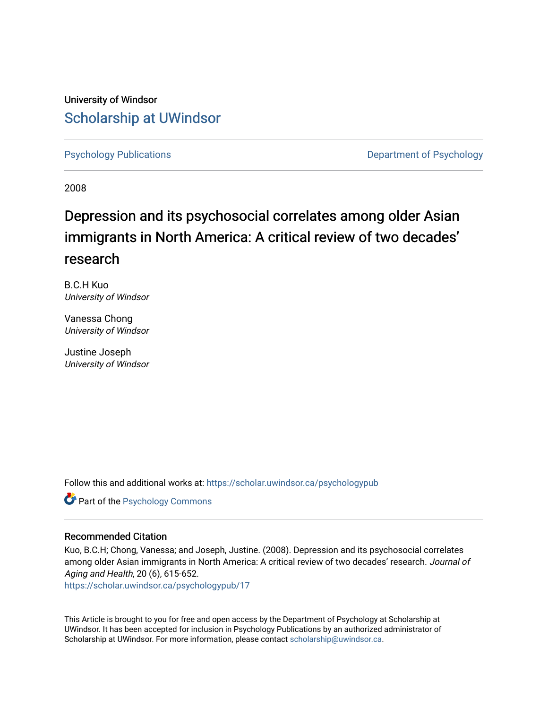University of Windsor [Scholarship at UWindsor](https://scholar.uwindsor.ca/) 

[Psychology Publications](https://scholar.uwindsor.ca/psychologypub) [Department of Psychology](https://scholar.uwindsor.ca/psychology) 

2008

# Depression and its psychosocial correlates among older Asian immigrants in North America: A critical review of two decades' research

B.C.H Kuo University of Windsor

Vanessa Chong University of Windsor

Justine Joseph University of Windsor

Follow this and additional works at: [https://scholar.uwindsor.ca/psychologypub](https://scholar.uwindsor.ca/psychologypub?utm_source=scholar.uwindsor.ca%2Fpsychologypub%2F17&utm_medium=PDF&utm_campaign=PDFCoverPages) 

Part of the [Psychology Commons](http://network.bepress.com/hgg/discipline/404?utm_source=scholar.uwindsor.ca%2Fpsychologypub%2F17&utm_medium=PDF&utm_campaign=PDFCoverPages) 

## Recommended Citation

Kuo, B.C.H; Chong, Vanessa; and Joseph, Justine. (2008). Depression and its psychosocial correlates among older Asian immigrants in North America: A critical review of two decades' research. Journal of Aging and Health, 20 (6), 615-652.

[https://scholar.uwindsor.ca/psychologypub/17](https://scholar.uwindsor.ca/psychologypub/17?utm_source=scholar.uwindsor.ca%2Fpsychologypub%2F17&utm_medium=PDF&utm_campaign=PDFCoverPages)

This Article is brought to you for free and open access by the Department of Psychology at Scholarship at UWindsor. It has been accepted for inclusion in Psychology Publications by an authorized administrator of Scholarship at UWindsor. For more information, please contact [scholarship@uwindsor.ca.](mailto:scholarship@uwindsor.ca)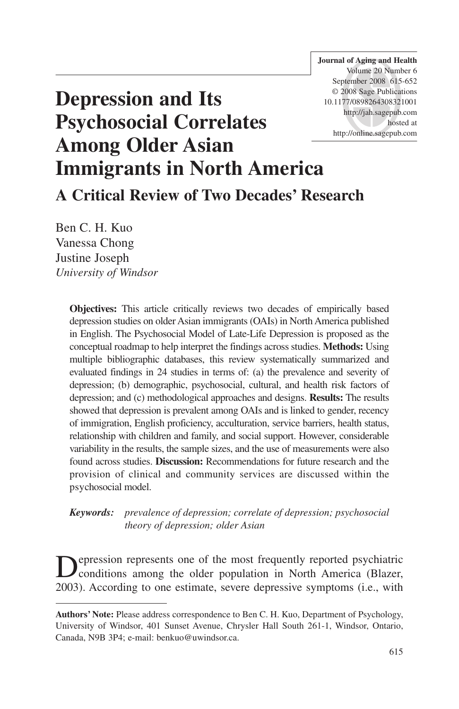**Journal of Aging and Health** Volume 20 Number 6 September 2008 615-652 © 2008 Sage Publications 10.1177/0898264308321001 http://jah.sagepub.com hosted at http://online.sagepub.com

# **Depression and Its Psychosocial Correlates Among Older Asian Immigrants in North America**

**A Critical Review of Two Decades' Research**

Ben C. H. Kuo Vanessa Chong Justine Joseph *University of Windsor*

> **Objectives:** This article critically reviews two decades of empirically based depression studies on older Asian immigrants (OAIs) in North America published in English. The Psychosocial Model of Late-Life Depression is proposed as the conceptual roadmap to help interpret the findings across studies. **Methods:** Using multiple bibliographic databases, this review systematically summarized and evaluated findings in 24 studies in terms of: (a) the prevalence and severity of depression; (b) demographic, psychosocial, cultural, and health risk factors of depression; and (c) methodological approaches and designs. **Results:** The results showed that depression is prevalent among OAIs and is linked to gender, recency of immigration, English proficiency, acculturation, service barriers, health status, relationship with children and family, and social support. However, considerable variability in the results, the sample sizes, and the use of measurements were also found across studies. **Discussion:** Recommendations for future research and the provision of clinical and community services are discussed within the psychosocial model.

> *Keywords: prevalence of depression; correlate of depression; psychosocial theory of depression; older Asian*

Depression represents one of the most frequently reported psychiatric conditions among the older population in North America (Blazer, 2003). According to one estimate, severe depressive symptoms (i.e., with

**Authors' Note:** Please address correspondence to Ben C. H. Kuo, Department of Psychology, University of Windsor, 401 Sunset Avenue, Chrysler Hall South 261-1, Windsor, Ontario, Canada, N9B 3P4; e-mail: benkuo@uwindsor.ca.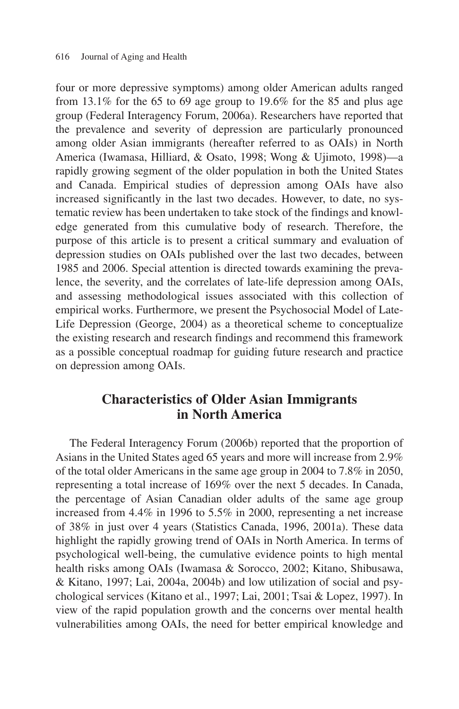four or more depressive symptoms) among older American adults ranged from 13.1% for the 65 to 69 age group to 19.6% for the 85 and plus age group (Federal Interagency Forum, 2006a). Researchers have reported that the prevalence and severity of depression are particularly pronounced among older Asian immigrants (hereafter referred to as OAIs) in North America (Iwamasa, Hilliard, & Osato, 1998; Wong & Ujimoto, 1998)—a rapidly growing segment of the older population in both the United States and Canada. Empirical studies of depression among OAIs have also increased significantly in the last two decades. However, to date, no systematic review has been undertaken to take stock of the findings and knowledge generated from this cumulative body of research. Therefore, the purpose of this article is to present a critical summary and evaluation of depression studies on OAIs published over the last two decades, between 1985 and 2006. Special attention is directed towards examining the prevalence, the severity, and the correlates of late-life depression among OAIs, and assessing methodological issues associated with this collection of empirical works. Furthermore, we present the Psychosocial Model of Late-Life Depression (George, 2004) as a theoretical scheme to conceptualize the existing research and research findings and recommend this framework as a possible conceptual roadmap for guiding future research and practice on depression among OAIs.

## **Characteristics of Older Asian Immigrants in North America**

The Federal Interagency Forum (2006b) reported that the proportion of Asians in the United States aged 65 years and more will increase from 2.9% of the total older Americans in the same age group in 2004 to 7.8% in 2050, representing a total increase of 169% over the next 5 decades. In Canada, the percentage of Asian Canadian older adults of the same age group increased from 4.4% in 1996 to 5.5% in 2000, representing a net increase of 38% in just over 4 years (Statistics Canada, 1996, 2001a). These data highlight the rapidly growing trend of OAIs in North America. In terms of psychological well-being, the cumulative evidence points to high mental health risks among OAIs (Iwamasa & Sorocco, 2002; Kitano, Shibusawa, & Kitano, 1997; Lai, 2004a, 2004b) and low utilization of social and psychological services (Kitano et al., 1997; Lai, 2001; Tsai & Lopez, 1997). In view of the rapid population growth and the concerns over mental health vulnerabilities among OAIs, the need for better empirical knowledge and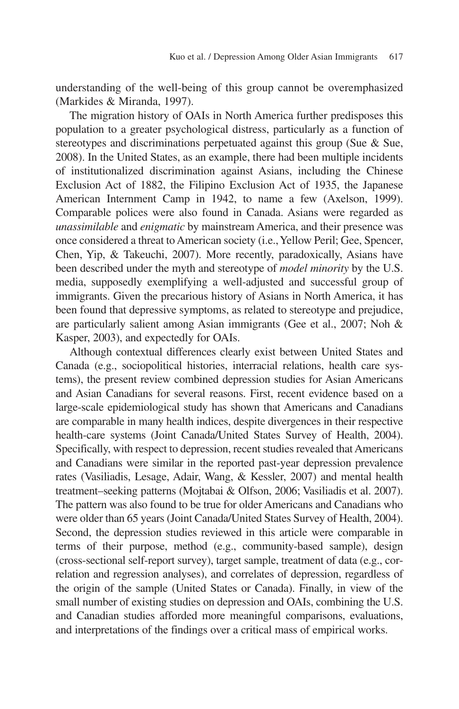understanding of the well-being of this group cannot be overemphasized (Markides & Miranda, 1997).

The migration history of OAIs in North America further predisposes this population to a greater psychological distress, particularly as a function of stereotypes and discriminations perpetuated against this group (Sue & Sue, 2008). In the United States, as an example, there had been multiple incidents of institutionalized discrimination against Asians, including the Chinese Exclusion Act of 1882, the Filipino Exclusion Act of 1935, the Japanese American Internment Camp in 1942, to name a few (Axelson, 1999). Comparable polices were also found in Canada. Asians were regarded as *unassimilable* and *enigmatic* by mainstream America, and their presence was once considered a threat to American society (i.e.,Yellow Peril; Gee, Spencer, Chen, Yip, & Takeuchi, 2007). More recently, paradoxically, Asians have been described under the myth and stereotype of *model minority* by the U.S. media, supposedly exemplifying a well-adjusted and successful group of immigrants. Given the precarious history of Asians in North America, it has been found that depressive symptoms, as related to stereotype and prejudice, are particularly salient among Asian immigrants (Gee et al., 2007; Noh & Kasper, 2003), and expectedly for OAIs.

Although contextual differences clearly exist between United States and Canada (e.g., sociopolitical histories, interracial relations, health care systems), the present review combined depression studies for Asian Americans and Asian Canadians for several reasons. First, recent evidence based on a large-scale epidemiological study has shown that Americans and Canadians are comparable in many health indices, despite divergences in their respective health-care systems (Joint Canada/United States Survey of Health, 2004). Specifically, with respect to depression, recent studies revealed that Americans and Canadians were similar in the reported past-year depression prevalence rates (Vasiliadis, Lesage, Adair, Wang, & Kessler, 2007) and mental health treatment–seeking patterns (Mojtabai & Olfson, 2006; Vasiliadis et al. 2007). The pattern was also found to be true for older Americans and Canadians who were older than 65 years (Joint Canada/United States Survey of Health, 2004). Second, the depression studies reviewed in this article were comparable in terms of their purpose, method (e.g., community-based sample), design (cross-sectional self-report survey), target sample, treatment of data (e.g., correlation and regression analyses), and correlates of depression, regardless of the origin of the sample (United States or Canada). Finally, in view of the small number of existing studies on depression and OAIs, combining the U.S. and Canadian studies afforded more meaningful comparisons, evaluations, and interpretations of the findings over a critical mass of empirical works.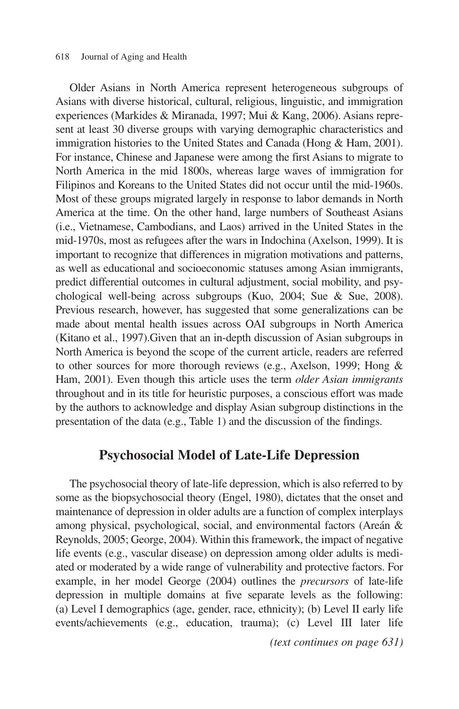Older Asians in North America represent heterogeneous subgroups of Asians with diverse historical, cultural, religious, linguistic, and immigration experiences (Markides & Miranada, 1997; Mui & Kang, 2006). Asians represent at least 30 diverse groups with varying demographic characteristics and immigration histories to the United States and Canada (Hong & Ham, 2001). For instance, Chinese and Japanese were among the first Asians to migrate to North America in the mid 1800s, whereas large waves of immigration for Filipinos and Koreans to the United States did not occur until the mid-1960s. Most of these groups migrated largely in response to labor demands in North America at the time. On the other hand, large numbers of Southeast Asians (i.e., Vietnamese, Cambodians, and Laos) arrived in the United States in the mid-1970s, most as refugees after the wars in Indochina (Axelson, 1999). It is important to recognize that differences in migration motivations and patterns, as well as educational and socioeconomic statuses among Asian immigrants, predict differential outcomes in cultural adjustment, social mobility, and psychological well-being across subgroups (Kuo, 2004; Sue & Sue, 2008). Previous research, however, has suggested that some generalizations can be made about mental health issues across OAI subgroups in North America (Kitano et al., 1997).Given that an in-depth discussion of Asian subgroups in North America is beyond the scope of the current article, readers are referred to other sources for more thorough reviews (e.g., Axelson, 1999; Hong & Ham, 2001). Even though this article uses the term *older Asian immigrants* throughout and in its title for heuristic purposes, a conscious effort was made by the authors to acknowledge and display Asian subgroup distinctions in the presentation of the data (e.g., Table 1) and the discussion of the findings.

### **Psychosocial Model of Late-Life Depression**

The psychosocial theory of late-life depression, which is also referred to by some as the biopsychosocial theory (Engel, 1980), dictates that the onset and maintenance of depression in older adults are a function of complex interplays among physical, psychological, social, and environmental factors (Areán & Reynolds, 2005; George, 2004). Within this framework, the impact of negative life events (e.g., vascular disease) on depression among older adults is mediated or moderated by a wide range of vulnerability and protective factors. For example, in her model George (2004) outlines the *precursors* of late-life depression in multiple domains at five separate levels as the following: (a) Level I demographics (age, gender, race, ethnicity); (b) Level II early life events/achievements (e.g., education, trauma); (c) Level III later life

*(text continues on page 631)*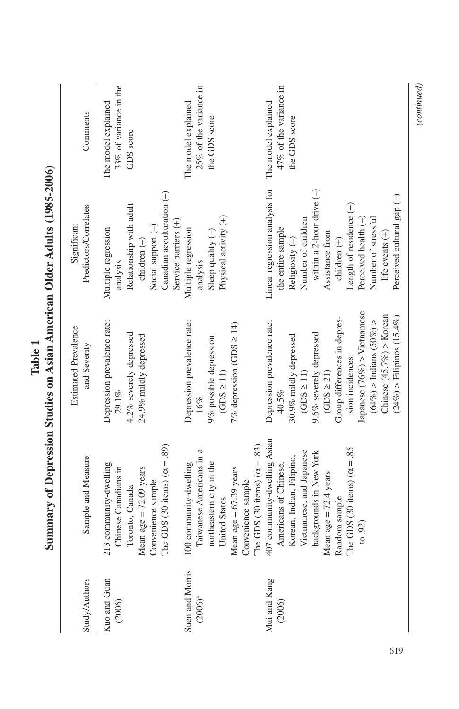|                                 |                                                                                                                                                                                                                                          | Summary of Depression Studies on Asian American Older Adults (1985-2006)                                                                                                                                                                                                                                              |                                                                                                                                                                                                                                                                                               |                                                                |
|---------------------------------|------------------------------------------------------------------------------------------------------------------------------------------------------------------------------------------------------------------------------------------|-----------------------------------------------------------------------------------------------------------------------------------------------------------------------------------------------------------------------------------------------------------------------------------------------------------------------|-----------------------------------------------------------------------------------------------------------------------------------------------------------------------------------------------------------------------------------------------------------------------------------------------|----------------------------------------------------------------|
| Study/Authors                   | Sample and Measure                                                                                                                                                                                                                       | <b>Estimated Prevalence</b><br>and Severity                                                                                                                                                                                                                                                                           | Predictors/Correlates<br>Significant                                                                                                                                                                                                                                                          | Comments                                                       |
| Kuo and Guan<br>(2006)          | The GDS (30 items) $(\alpha = .89)$<br>213 community-dwelling<br>Chinese Canadians in<br>Mean age $= 72.09$ years<br>Convenience sample<br>Toronto, Canada                                                                               | Depression prevalence rate:<br>4.2% severely depressed<br>24.9% mildly depressed<br>29.1%                                                                                                                                                                                                                             | Canadian acculturation $(-)$<br>Relationship with adult<br>Service barriers (+)<br>Social support (-)<br>Multiple regression<br>$children(-)$<br>analysis                                                                                                                                     | 33% of variance in the<br>The model explained<br>GDS score     |
| Suen and Morris<br>$(2006)^{s}$ | The GDS (30 items) $(\alpha = .83)$<br>a<br>Taiwanese Americans in<br>northeastern city in the<br>100 community-dwelling<br>Mean age $= 67.39$ years<br>Convenience sample<br>United States                                              | Depression prevalence rate:<br>7% depression (GDS $\geq$ 14)<br>9% possible depression<br>$(GBS \geq 11)$<br>16%                                                                                                                                                                                                      | Physical activity (+)<br>Multiple regression<br>Sleep quality $(-)$<br>analysis                                                                                                                                                                                                               | 25% of the variance in<br>The model explained<br>the GDS score |
| Mui and Kang<br>(2006)          | 407 community-dwelling Asian<br>The GDS (30 items) ( $\alpha = .85$<br>Vietnamese, and Japanese<br>backgrounds in New York<br>Korean, Indian, Filipino,<br>Americans of Chinese,<br>Mean age $= 72.4$ years<br>Random sample<br>(50, 01) | Japanese $(76\%)$ > Vietnamese<br>Chinese $(45.7\%) >$ Korean<br>$(24\%) >$ Filipinos (15.4%)<br>Group differences in depres-<br>Depression prevalence rate:<br>$(64\%) >$ Indians $(50\%) >$<br>9.6% severely depressed<br>30.9% mildly depressed<br>sion incidences:<br>$(GBS \geq 21)$<br>$(6DS \geq 11)$<br>40.5% | Linear regression analysis for<br>within a 2-hour drive $(-)$<br>Perceived cultural gap (+)<br>Length of residence (+)<br>Number of children<br>Perceived health (-)<br>Number of stressful<br>the entire sample<br>life events $(+)$<br>Assistance from<br>$children (+)$<br>Religiosity (-) | 47% of the variance in<br>The model explained<br>the GDS score |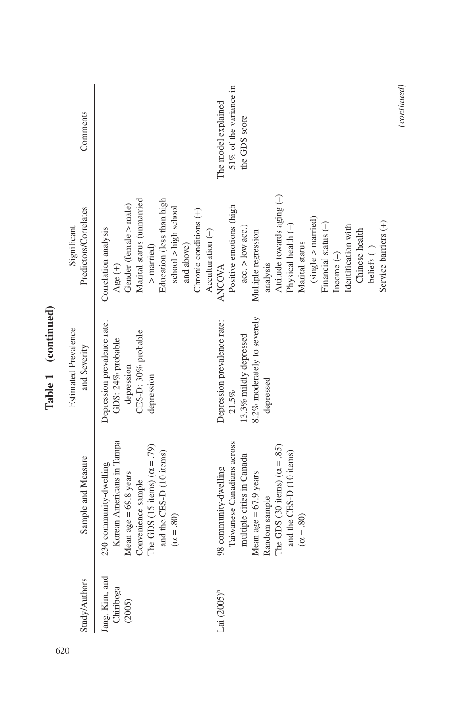|                                       |                                                                                                                                                                                                                      | Table 1 (continued)                                                                                        |                                                                                                                                                                                                                                                                                                                       |                                                                |
|---------------------------------------|----------------------------------------------------------------------------------------------------------------------------------------------------------------------------------------------------------------------|------------------------------------------------------------------------------------------------------------|-----------------------------------------------------------------------------------------------------------------------------------------------------------------------------------------------------------------------------------------------------------------------------------------------------------------------|----------------------------------------------------------------|
| Study/Authors                         | Sample and Measure                                                                                                                                                                                                   | Estimated Prevalence<br>and Severity                                                                       | Predictors/Correlates<br>Significant                                                                                                                                                                                                                                                                                  | Comments                                                       |
| Jang, Kim, and<br>Chiriboga<br>(2005) | Korean Americans in Tampa<br>The GDS (15 items) $(\alpha = .79)$<br>and the CES-D (10 items)<br>230 community-dwelling<br>Mean age $= 69.8$ years<br>Convenience sample<br>$(\alpha = 80)$                           | Depression prevalence rate:<br>CES-D: 30% probable<br>GDS: 24% probable<br>depression<br>depression        | Marital status (unmarried<br>Education (less than high<br>Gender (female > male)<br>school > high school<br>Chronic conditions (+)<br>Correlation analysis<br>Acculturation (-)<br>> married)<br>and above)<br>Age (+)                                                                                                |                                                                |
| Lai (2005) <sup>b</sup>               | Taiwanese Canadians across<br>The GDS (30 items) $(\alpha = .85)$<br>and the CES-D (10 items)<br>multiple cities in Canada<br>98 community-dwelling<br>Mean age $= 67.9$ years<br>Random sample<br>$(\alpha = 0.80)$ | 8.2% moderately to severely<br>Depression prevalence rate:<br>13.3% mildly depressed<br>depressed<br>21.5% | Attitude towards aging (-)<br>Positive emotions (high<br>(single > married)<br>Service barriers (+)<br>Financial status (-)<br>Identification with<br>Physical health (-)<br>acc. > low acc.<br>Chinese health<br>Multiple regression<br>Marital status<br>beliefs $(-)$<br>Income $(-)$<br>analysis<br><b>ANCOVA</b> | 51% of the variance in<br>The model explained<br>the GDS score |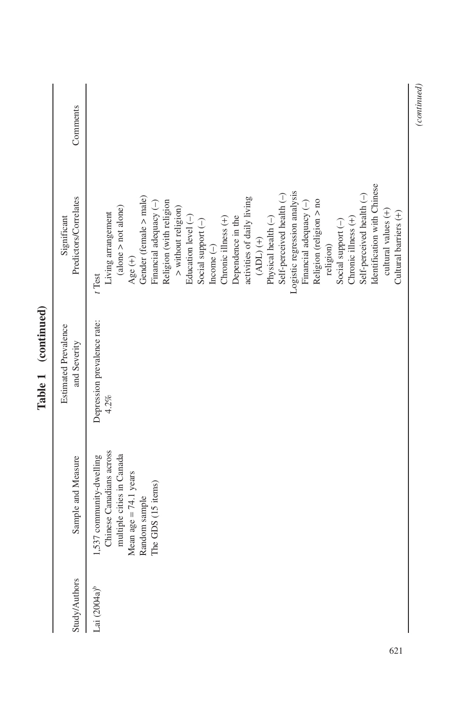|                          |                                                                                                                                                             | Estimated Prevalence                | Significant                                                                                                                                                                                                                                                                                                                                                                                                                                                                                                                                                                                                                                     |          |
|--------------------------|-------------------------------------------------------------------------------------------------------------------------------------------------------------|-------------------------------------|-------------------------------------------------------------------------------------------------------------------------------------------------------------------------------------------------------------------------------------------------------------------------------------------------------------------------------------------------------------------------------------------------------------------------------------------------------------------------------------------------------------------------------------------------------------------------------------------------------------------------------------------------|----------|
| Study/Authors            | Sample and Measure                                                                                                                                          | and Severity                        | Predictors/Correlates                                                                                                                                                                                                                                                                                                                                                                                                                                                                                                                                                                                                                           | Comments |
| Lai (2004a) <sup>b</sup> | Chinese Canadians across<br>multiple cities in Canada<br>1,537 community-dwelling<br>Mean $age = 74.1 \text{ years}$<br>The GDS (15 items)<br>Random sample | Depression prevalence rate:<br>4.2% | Identification with Chinese<br>Logistic regression analysis<br>Self-perceived health (-)<br>Self-perceived health (-)<br>Gender (female > male)<br>activities of daily living<br>Religion (religion > no<br>Financial adequacy (-)<br>Financial adequacy (-)<br>Religion (with religion<br>(alone $>$ not alone)<br>> without religion)<br>cultural values (+)<br>Cultural barriers (+)<br>Living arrangement<br>Dependence in the<br>Physical health (-)<br>Education level (-)<br>Chronic illness (+)<br>Chronic illness (+)<br>Social support (-)<br>Social support (-)<br>$(ADL)$ $(+)$<br>Income $(-)$<br>religion)<br>Age $(+)$<br>t Test |          |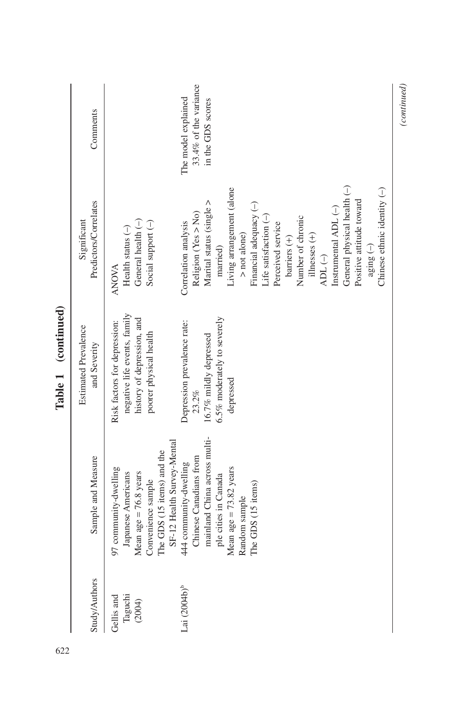| Study/Authors                   | Sample and Measure                                                                                                                                                          | <b>Estimated Prevalence</b><br>and Severity                                                                          | Predictors/Correlates<br>Significant                                                                                                                                                                                                                                                                                                                                                                               | Comments                                                          |
|---------------------------------|-----------------------------------------------------------------------------------------------------------------------------------------------------------------------------|----------------------------------------------------------------------------------------------------------------------|--------------------------------------------------------------------------------------------------------------------------------------------------------------------------------------------------------------------------------------------------------------------------------------------------------------------------------------------------------------------------------------------------------------------|-------------------------------------------------------------------|
| Taguchi<br>Gellis and<br>(2004) | SF-12 Health Survey-Mental<br>The GDS (15 items) and the<br>97 community-dwelling<br>Japanese Americans<br>Mean age $= 76.8$ years<br>Convenience sample                    | negative life events, family<br>history of depression, and<br>Risk factors for depression:<br>poorer physical health | General health (-)<br>Social support (-)<br>Health status $(-)$<br><b>ANOVA</b>                                                                                                                                                                                                                                                                                                                                    |                                                                   |
| Lai (2004b) <sup>b</sup>        | mainland China across multi-<br>Chinese Canadians from<br>444 community-dwelling<br>Mean age $= 73.82$ years<br>ple cities in Canada<br>The GDS (15 items)<br>Random sample | 6.5% moderately to severely<br>Depression prevalence rate:<br>16.7% mildly depressed<br>depressed<br>23.2%           | General physical health (-)<br>Living arrangement (alone<br>Chinese ethnic identity $(-)$<br>Marital status (single ><br>Positive attitude toward<br>Financial adequacy (-)<br>Instrumental ADL (-)<br>Religion (Yes > No)<br>Life satisfaction (-)<br>Number of chronic<br>Correlation analysis<br>Perceived service<br>illnesses (+)<br>> not alone)<br>barriers (+)<br>married)<br>$\text{arg}(-)$<br>ADL $(-)$ | 33.4% of the variance<br>The model explained<br>in the GDS scores |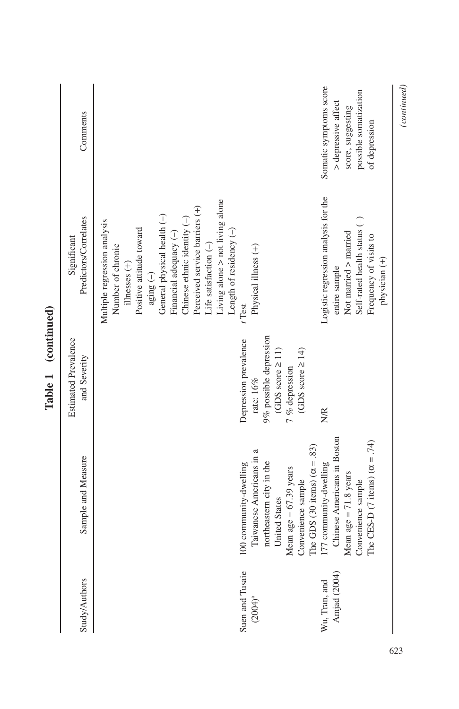|                                 |                                                                                                                                                                                       | Table 1 (continued)                                                                                                                 |                                                                                                                                                                                                                                                                                                                                  |                                                                                                              |
|---------------------------------|---------------------------------------------------------------------------------------------------------------------------------------------------------------------------------------|-------------------------------------------------------------------------------------------------------------------------------------|----------------------------------------------------------------------------------------------------------------------------------------------------------------------------------------------------------------------------------------------------------------------------------------------------------------------------------|--------------------------------------------------------------------------------------------------------------|
| Study/Authors                   | Sample and Measure                                                                                                                                                                    | Estimated Prevalence<br>and Severity                                                                                                | Predictors/Correlates<br>Significant                                                                                                                                                                                                                                                                                             | Comments                                                                                                     |
|                                 |                                                                                                                                                                                       |                                                                                                                                     | Living alone $>$ not living alone<br>Perceived service barriers (+)<br>General physical health (-)<br>Chinese ethnic identity $(-)$<br>Multiple regression analysis<br>Positive attitude toward<br>Length of residency (-)<br>Financial adequacy (-)<br>Life satisfaction (-)<br>Number of chronic<br>illnesses (+)<br>aging (-) |                                                                                                              |
| Suen and Tusaie<br>$(2004)^{s}$ | Taiwanese Americans in a<br>northeastern city in the<br>100 community-dwelling<br>Mean age $= 67.39$ years<br>Convenience sample<br>United States                                     | 9% possible depression<br>Depression prevalence<br>$(GDS score \geq 11)$<br>$(6DS score \geq 14)$<br>7 % depression<br>rate: $16\%$ | Physical illness (+)<br>t Test                                                                                                                                                                                                                                                                                                   |                                                                                                              |
| Amjad (2004)<br>Wu, Tran, and   | Chinese Americans in Boston<br>The CES-D (7 items) $(\alpha = .74)$<br>The GDS (30 items) $(\alpha = .83)$<br>177 community-dwelling<br>Mean age $= 71.8$ years<br>Convenience sample | <b>NR</b>                                                                                                                           | Logistic regression analysis for the<br>Self-rated health status (-)<br>Not married > married<br>Frequency of visits to<br>physician (+)<br>entire sample                                                                                                                                                                        | Somatic symptoms score<br>possible somatization<br>> depressive affect<br>score, suggesting<br>of depression |
|                                 |                                                                                                                                                                                       |                                                                                                                                     |                                                                                                                                                                                                                                                                                                                                  | (continued)                                                                                                  |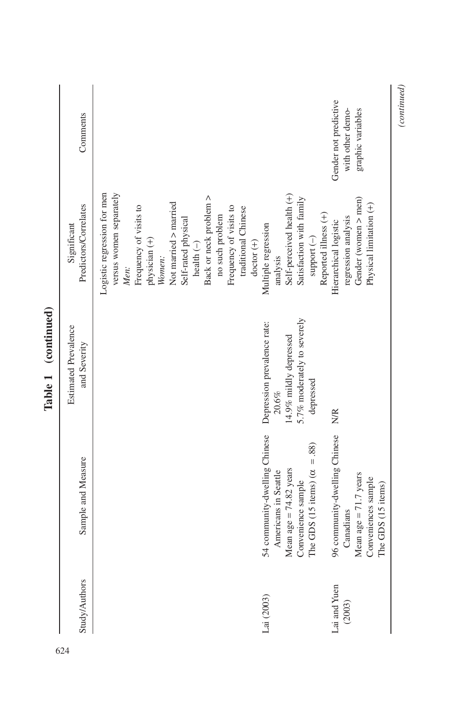|                                      |                                                                                                                                                                                                                                                                        | Lable 1 (continued)                                                                                                  |                                                                                                                                                                                                                                                                                                                                                                                                                                                                                                                                          |                                                                |
|--------------------------------------|------------------------------------------------------------------------------------------------------------------------------------------------------------------------------------------------------------------------------------------------------------------------|----------------------------------------------------------------------------------------------------------------------|------------------------------------------------------------------------------------------------------------------------------------------------------------------------------------------------------------------------------------------------------------------------------------------------------------------------------------------------------------------------------------------------------------------------------------------------------------------------------------------------------------------------------------------|----------------------------------------------------------------|
| Study/Authors                        | Sample and Measure                                                                                                                                                                                                                                                     | Estimated Prevalence<br>and Severity                                                                                 | Predictors/Correlates<br>Significant                                                                                                                                                                                                                                                                                                                                                                                                                                                                                                     | Comments                                                       |
| Lai and Yuen<br>Lai (2003)<br>(2003) | 54 community-dwelling Chinese<br>96 community-dwelling Chinese<br>The GDS (15 items) ( $\alpha = .88$ )<br>Mean age $= 74.82$ years<br>Americans in Seattle<br>Mean age $= 71.7$ years<br>Conveniences sample<br>Convenience sample<br>The GDS (15 items)<br>Canadians | 5.7% moderately to severely<br>Depression prevalence rate:<br>14.9% mildly depressed<br>depressed<br>$20.6\%$<br>N/R | versus women separately<br>Logistic regression for men<br>Self-perceived health (+)<br>Back or neck problem ><br>Satisfaction with family<br>Gender (women $>$ men)<br>Physical limitation (+)<br>Not married > married<br>Frequency of visits to<br>Frequency of visits to<br>traditional Chinese<br>Reported illness (+)<br>no such problem<br>regression analysis<br>Self-rated physical<br>Hierarchical logistic<br>Multiple regression<br>support (-)<br>physician (+)<br>$dotor (+)$<br>health $(-)$<br>analysis<br>Women:<br>Men: | Gender not predictive<br>with other demo-<br>graphic variables |
|                                      |                                                                                                                                                                                                                                                                        |                                                                                                                      |                                                                                                                                                                                                                                                                                                                                                                                                                                                                                                                                          | (continued)                                                    |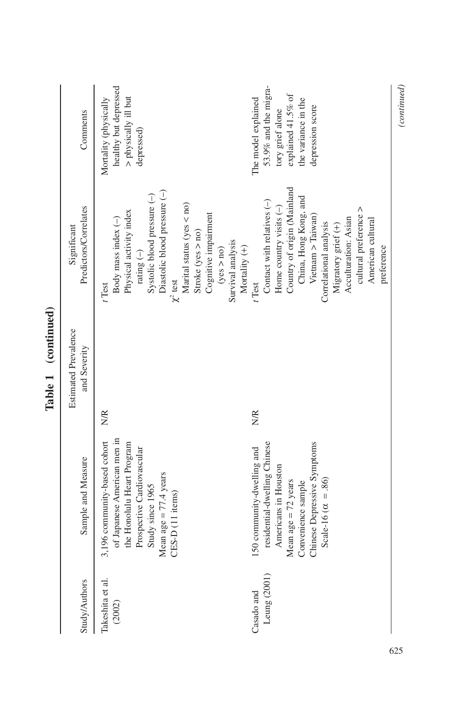| Study/Authors                | Sample and Measure                                                                                                                                                                              | Estimated Prevalence<br>and Severity | Predictors/Correlates<br>Significant                                                                                                                                                                                                                                                                         | Comments                                                                                                                         |
|------------------------------|-------------------------------------------------------------------------------------------------------------------------------------------------------------------------------------------------|--------------------------------------|--------------------------------------------------------------------------------------------------------------------------------------------------------------------------------------------------------------------------------------------------------------------------------------------------------------|----------------------------------------------------------------------------------------------------------------------------------|
| Takeshita et al.<br>(2002)   | of Japanese American men in<br>3,196 community-based cohort<br>the Honolulu Heart Program<br>Prospective Cardiovascular<br>Mean age $= 77.4$ years<br>Study since 1965<br>CES-D (11 items)      | <b>NR</b>                            | Diastolic blood pressure (-)<br>Systolic blood pressure (-)<br>Marital status ( $yes < no$ )<br>Physical activity index<br>Cognitive impairment<br>Body mass index (-)<br>Stroke (yes $> no$ )<br>Survival analysis<br>rating $(-)$<br>Mortality $(\boldsymbol{+})$<br>(yes > no)<br>$\chi^2$ test<br>t Test | healthy but depressed<br>> physically ill but<br>Mortality (physically<br>depressed)                                             |
| Leung $(2001)$<br>Casado and | Chinese Depressive Symptoms<br>residential-dwelling Chinese<br>150 community-dwelling and<br>Americans in Houston<br>Scale-16 ( $\alpha = .86$ )<br>Mean age $= 72$ years<br>Convenience sample | <b>NR</b>                            | Country of origin (Mainland<br>China, Hong Kong, and<br>Contact with relatives (-)<br>Home country visits (-)<br>cultural preference ><br>Vietnam > Taiwan)<br>Acculturation: Asian<br>American cultural<br>Correlational analysis<br>Migratory grief (+)<br>preference<br>Test                              | 53.9% and the migra-<br>explained 41.5% of<br>The model explained<br>the variance in the<br>depression score<br>tory grief alone |
|                              |                                                                                                                                                                                                 |                                      |                                                                                                                                                                                                                                                                                                              | (continued)                                                                                                                      |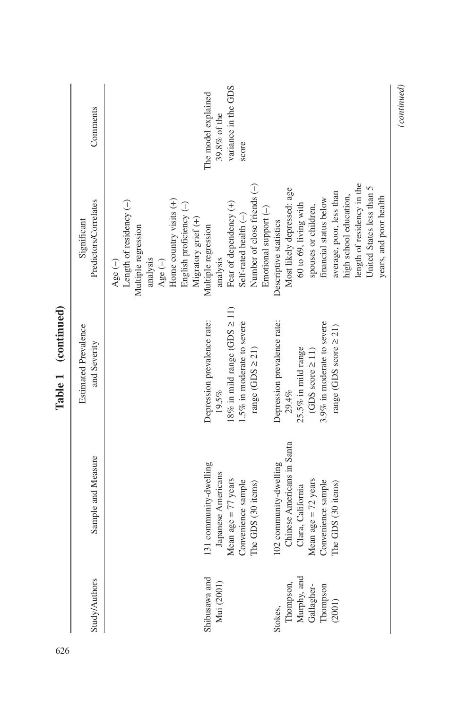|                                                                         |                                                                                                                                                | Table 1 (continued)                                                                                                                             |                                                                                                                                                                                                                                                                            |                                                                     |
|-------------------------------------------------------------------------|------------------------------------------------------------------------------------------------------------------------------------------------|-------------------------------------------------------------------------------------------------------------------------------------------------|----------------------------------------------------------------------------------------------------------------------------------------------------------------------------------------------------------------------------------------------------------------------------|---------------------------------------------------------------------|
| Study/Authors                                                           | Sample and Measure                                                                                                                             | Estimated Prevalence<br>and Severity                                                                                                            | Predictors/Correlates<br>Significant                                                                                                                                                                                                                                       | Comments                                                            |
|                                                                         |                                                                                                                                                |                                                                                                                                                 | Home country visits $(+)$<br>Length of residency (-)<br>English proficiency (-)<br>Migratory grief (+)<br>Multiple regression<br>Age $(-)$<br>analysis<br>Age $(-)$                                                                                                        |                                                                     |
| Shibusawa and<br>Mui (2001)                                             | 131 community-dwelling<br>Japanese Americans<br>Mean $age = 77 years$<br>Convenience sample<br>The GDS (30 items)                              | $8\%$ in mild range (GDS $\geq 11$ )<br>Depression prevalence rate:<br>.5% in moderate to severe<br>range (GDS $\geq$ 21)<br>19.5%              | Number of close friends (-)<br>Fear of dependency (+)<br>Emotional support (-)<br>Self-rated health (-)<br>Multiple regression<br>analysis                                                                                                                                 | variance in the GDS<br>The model explained<br>39.8% of the<br>score |
| Murphy, and<br>Thompson,<br>Gallagher-<br>Thompson<br>(2001)<br>Stokes, | Chinese Americans in Santa<br>102 community-dwelling<br>Mean age $= 72$ years<br>Convenience sample<br>The GDS (30 items)<br>Clara, California | Depression prevalence rate:<br>3.9% in moderate to severe<br>range (GDS score ≥ 21)<br>$25.5\%$ in mild range<br>$(6DS score \geq 11)$<br>29.4% | length of residency in the<br>United States less than 5<br>Most likely depressed: age<br>average, poor, less than<br>high school education,<br>years, and poor health<br>financial status below<br>60 to 69, living with<br>spouses or children,<br>Descriptive statistics |                                                                     |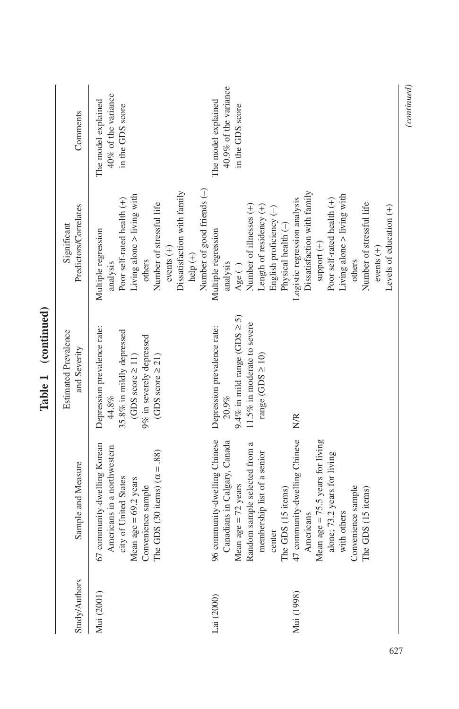|               |                                                                                                                                                                                        | (""""""""""""""")                                                                                                                              |                                                                                                                                                                                                                                  |                                                                  |
|---------------|----------------------------------------------------------------------------------------------------------------------------------------------------------------------------------------|------------------------------------------------------------------------------------------------------------------------------------------------|----------------------------------------------------------------------------------------------------------------------------------------------------------------------------------------------------------------------------------|------------------------------------------------------------------|
| Study/Authors | Sample and Measure                                                                                                                                                                     | Estimated Prevalence<br>and Severity                                                                                                           | Predictors/Correlates<br>Significant                                                                                                                                                                                             | Comments                                                         |
| Mui (2001)    | 67 community-dwelling Korean<br>Americans in a northwestern<br>The GDS (30 items) $(\alpha = .88)$<br>city of United States<br>Mean age $= 69.2$ years<br>Convenience sample           | Depression prevalence rate:<br>35.8% in mildly depressed<br>9% in severely depressed<br>$(6DS score \ge 11)$<br>$(GDS score \geq 21)$<br>44.8% | Number of good friends $(-)$<br>Dissatisfaction with family<br>Living alone $>$ living with<br>Poor self-rated health (+)<br>Number of stressful life<br>Multiple regression<br>events $(+)$<br>help $(+)$<br>others<br>analysis | 40% of the variance<br>The model explained<br>in the GDS score   |
| Lai (2000)    | 96 community-dwelling Chinese<br>Canadians in Calgary, Canada<br>Random sample selected from a<br>membership list of a senior<br>Mean age $= 72$ years<br>The GDS (15 items)<br>center | 9.4% in mild range (GDS $\geq$ 5)<br>11.5% in moderate to severe<br>Depression prevalence rate:<br>range (GDS $\geq$ 10)<br>20.9%              | Number of illnesses (+)<br>Length of residency (+)<br>English proficiency (-)<br>Physical health (-)<br>Multiple regression<br>analysis<br>Age $(-)$                                                                             | 40.9% of the variance<br>The model explained<br>in the GDS score |
| Mui (1998)    | 47 community-dwelling Chinese<br>Mean $age = 75.5$ years for living<br>alone; 73.2 years for living<br>Convenience sample<br>The GDS (15 items)<br>with others<br>Americans            | N/R                                                                                                                                            | Dissatisfaction with family<br>Living alone $>$ living with<br>Poor self-rated health (+)<br>Logistic regression analysis<br>Number of stressful life<br>Levels of education $(+)$<br>support (+)<br>events $(+)$<br>others      |                                                                  |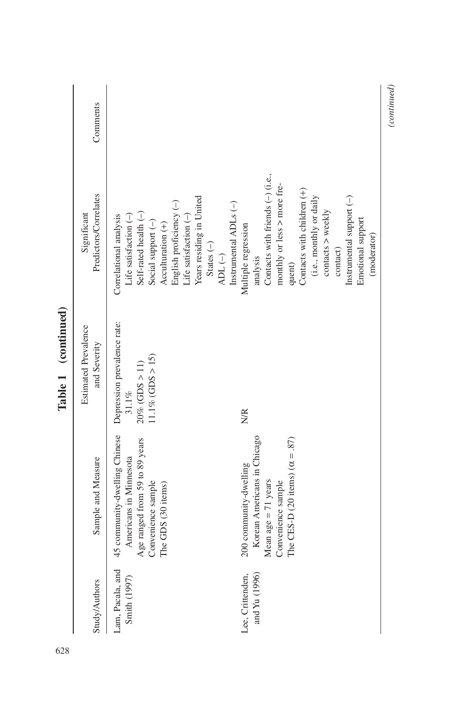|                                   |                                                                                                                                               | Table 1 (continued)                                                                   |                                                                                                                                                                                                                                                                                                   |          |
|-----------------------------------|-----------------------------------------------------------------------------------------------------------------------------------------------|---------------------------------------------------------------------------------------|---------------------------------------------------------------------------------------------------------------------------------------------------------------------------------------------------------------------------------------------------------------------------------------------------|----------|
| Study/Authors                     | Sample and Measure                                                                                                                            | Estimated Prevalence<br>and Severity                                                  | Predictors/Correlates<br>Significant                                                                                                                                                                                                                                                              | Comments |
| Lam, Pacala, and<br>Smith (1997)  | 45 community-dwelling Chinese<br>Age ranged from 59 to 89 years<br>Americans in Minnesota<br>Convenience sample<br>The GDS (30 items)         | Depression prevalence rate:<br>$11.1\%$ (GDS $>15)$<br>$20\%$ (GDS $>11)$<br>$31.1\%$ | Years residing in United<br>English proficiency (-)<br>Self-rated health (-)<br>Life satisfaction (-)<br>Correlational analysis<br>Life satisfaction (-)<br>Social support (-)<br>Acculturation (+)<br>States $(-)$<br>$\left( -\right)$ TOV                                                      |          |
| and Yu (1996)<br>Lee, Crittenden, | Korean Americans in Chicago<br>The CES-D (20 items) $(\alpha = .87)$<br>200 community-dwelling<br>Mean age $= 71$ years<br>Convenience sample | <b>NR</b>                                                                             | Contacts with friends $(-)$ (i.e.,<br>monthly or less > more fre-<br>Contacts with children (+)<br>(i.e., monthly or daily<br>Instrumental support (-)<br>Instrumental ADLs (-)<br>contacts > weekly<br>Emotional support<br>Multiple regression<br>(moderator)<br>contact)<br>analysis<br>quent) |          |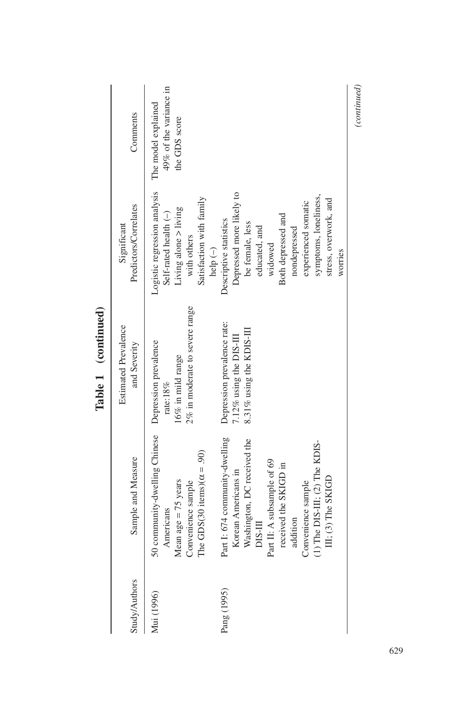| Study/Authors | Sample and Measure                                                                                                                                                                                                                                   | Estimated Prevalence<br>and Severity                                                  | Predictors/Correlates<br>Significant                                                                                                                                                                                        | Comments                                                       |
|---------------|------------------------------------------------------------------------------------------------------------------------------------------------------------------------------------------------------------------------------------------------------|---------------------------------------------------------------------------------------|-----------------------------------------------------------------------------------------------------------------------------------------------------------------------------------------------------------------------------|----------------------------------------------------------------|
| Mui (1996)    | 50 community-dwelling Chinese Depression prevalence<br>The GDS(30 items) $(\alpha = .90)$<br>Mean $age = 75$ years<br>Convenience sample<br>Americans                                                                                                | 2% in moderate to severe range<br>16% in mild range<br>rate:18%                       | Logistic regression analysis<br>Satisfaction with family<br>Living alone $>$ living<br>Self-rated health $(-)$<br>with others<br>help $(-)$                                                                                 | 49% of the variance in<br>The model explained<br>the GDS score |
| Pang (1995)   | Part I: 674 community-dwelling<br>Washington, DC received the<br>$(1)$ The DIS-III; $(2)$ The KDIS-<br>Part II: A subsample of 69<br>received the SKIGD in<br>Korean Americans in<br>III; (3) The SKIGD<br>Convenience sample<br>addition<br>DIS-III | Depression prevalence rate:<br>$8.31\%$ using the KDIS-III<br>7.12% using the DIS-III | Depressed more likely to<br>symptoms, loneliness,<br>stress, overwork, and<br>experienced somatic<br>Both depressed and<br>Descriptive statistics<br>be female, less<br>educated, and<br>nondepressed<br>widowed<br>worries |                                                                |
|               |                                                                                                                                                                                                                                                      |                                                                                       |                                                                                                                                                                                                                             | $_{(continued)}$                                               |

| $\mathbf{c}$<br>5 |
|-------------------|

629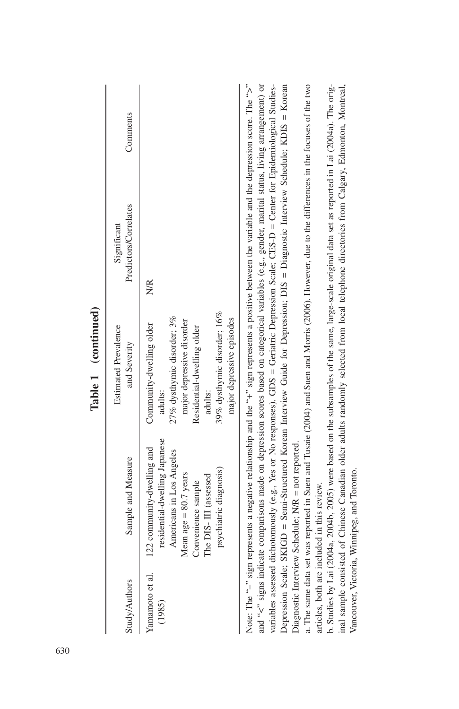|                           |                                                                                                                                                                                                                                                                                                                                                                                                                                                                                                                                                                                                                                                                                                                                                                                                             | Table 1 (continued)                                                                                                                                                                                 |                                      |          |
|---------------------------|-------------------------------------------------------------------------------------------------------------------------------------------------------------------------------------------------------------------------------------------------------------------------------------------------------------------------------------------------------------------------------------------------------------------------------------------------------------------------------------------------------------------------------------------------------------------------------------------------------------------------------------------------------------------------------------------------------------------------------------------------------------------------------------------------------------|-----------------------------------------------------------------------------------------------------------------------------------------------------------------------------------------------------|--------------------------------------|----------|
| Study/Authors             | Sample and Measure                                                                                                                                                                                                                                                                                                                                                                                                                                                                                                                                                                                                                                                                                                                                                                                          | <b>Estimated Prevalence</b><br>and Severity                                                                                                                                                         | Predictors/Correlates<br>Significant | Comments |
| Yamamoto et al.<br>(1985) | residential-dwelling Japanese<br>122 community-dwelling and<br>Americans in Los Angeles<br>psychiatric diagnosis)<br>Mean age $= 80.7$ years<br>The DIS-III (assessed<br>Convenience sample                                                                                                                                                                                                                                                                                                                                                                                                                                                                                                                                                                                                                 | 39% dysthymic disorder; 16%<br>27% dysthymic disorder; 3%<br>major depressive episodes<br>major depressive disorder<br>Community-dwelling older<br>Residential-dwelling older<br>adults:<br>adults: | <b>NR</b>                            |          |
|                           | Note: The "-" sign represents a negative relationship and the "+" sign represents a positive between the variable and the depression score. The ">"<br>and "<" signs indicate comparisons made on depression scores based on categorical variables (e.g., gender, marital status, living arrangement) or<br>a. The same data set was reported in Suen and Tusaie (2004) and Suen and Morris (2006). However, due to the differences in the focuses of the two<br>variables assessed dichotomously (e.g., Yes or No responses). GDS = Geriatric Depression Scale; CES-D = Center for Epidemiological Studies-<br>Depression Scale; SKIGD = Semi-Structured Korean Interview Guide for Depression; DIS = Diagnostic Interview Schedule; KDIS = Korean<br>Diagnostic Interview Schedule; $N/R$ = not reported. |                                                                                                                                                                                                     |                                      |          |

articles, both are included in this review.

articles, both are included in this review.

Vancouver, Victoria, Winnipeg, and Toronto.

Vancouver, Victoria, Winnipeg, and Toronto.

b. Studies by Lai (2004a, 2004b, 2005) were based on the subsamples of the same, large-scale original data set as reported in Lai (2004a). The original sample consisted of Chinese Canadian older adults randomly selected from local telephone directories from Calgary, Edmonton, Montreal,

b. Studies by Lai (2004a, 2004b, 2005) were based on the subsamples of the same, large-scale original data set as reported in Lai (2004a). The original sample consisted of Chinese Canadian older adults randomly selected from local telephone directories from Calgary, Edmonton, Montreal,

630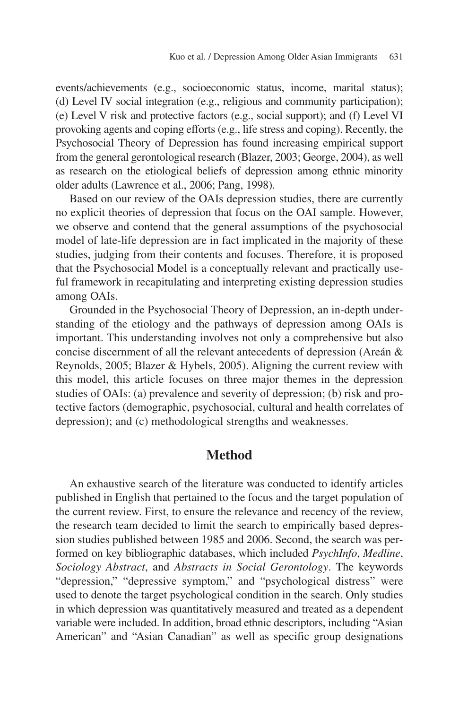events/achievements (e.g., socioeconomic status, income, marital status); (d) Level IV social integration (e.g., religious and community participation); (e) Level V risk and protective factors (e.g., social support); and (f) Level VI provoking agents and coping efforts (e.g., life stress and coping). Recently, the Psychosocial Theory of Depression has found increasing empirical support from the general gerontological research (Blazer, 2003; George, 2004), as well as research on the etiological beliefs of depression among ethnic minority older adults (Lawrence et al., 2006; Pang, 1998).

Based on our review of the OAIs depression studies, there are currently no explicit theories of depression that focus on the OAI sample. However, we observe and contend that the general assumptions of the psychosocial model of late-life depression are in fact implicated in the majority of these studies, judging from their contents and focuses. Therefore, it is proposed that the Psychosocial Model is a conceptually relevant and practically useful framework in recapitulating and interpreting existing depression studies among OAIs.

Grounded in the Psychosocial Theory of Depression, an in-depth understanding of the etiology and the pathways of depression among OAIs is important. This understanding involves not only a comprehensive but also concise discernment of all the relevant antecedents of depression (Areán & Reynolds, 2005; Blazer & Hybels, 2005). Aligning the current review with this model, this article focuses on three major themes in the depression studies of OAIs: (a) prevalence and severity of depression; (b) risk and protective factors (demographic, psychosocial, cultural and health correlates of depression); and (c) methodological strengths and weaknesses.

## **Method**

An exhaustive search of the literature was conducted to identify articles published in English that pertained to the focus and the target population of the current review. First, to ensure the relevance and recency of the review, the research team decided to limit the search to empirically based depression studies published between 1985 and 2006. Second, the search was performed on key bibliographic databases, which included *PsychInfo*, *Medline*, *Sociology Abstract*, and *Abstracts in Social Gerontology*. The keywords "depression," "depressive symptom," and "psychological distress" were used to denote the target psychological condition in the search. Only studies in which depression was quantitatively measured and treated as a dependent variable were included. In addition, broad ethnic descriptors, including "Asian American" and "Asian Canadian" as well as specific group designations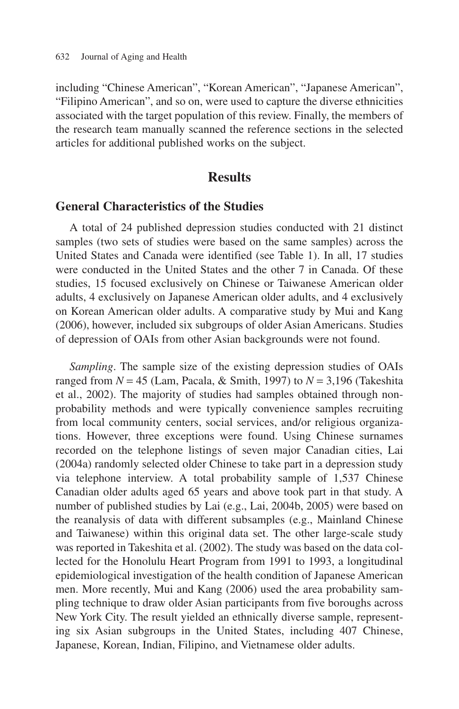including "Chinese American", "Korean American", "Japanese American", "Filipino American", and so on, were used to capture the diverse ethnicities associated with the target population of this review. Finally, the members of the research team manually scanned the reference sections in the selected articles for additional published works on the subject.

### **Results**

#### **General Characteristics of the Studies**

A total of 24 published depression studies conducted with 21 distinct samples (two sets of studies were based on the same samples) across the United States and Canada were identified (see Table 1). In all, 17 studies were conducted in the United States and the other 7 in Canada. Of these studies, 15 focused exclusively on Chinese or Taiwanese American older adults, 4 exclusively on Japanese American older adults, and 4 exclusively on Korean American older adults. A comparative study by Mui and Kang (2006), however, included six subgroups of older Asian Americans. Studies of depression of OAIs from other Asian backgrounds were not found.

*Sampling*. The sample size of the existing depression studies of OAIs ranged from  $N = 45$  (Lam, Pacala, & Smith, 1997) to  $N = 3,196$  (Takeshita et al., 2002). The majority of studies had samples obtained through nonprobability methods and were typically convenience samples recruiting from local community centers, social services, and/or religious organizations. However, three exceptions were found. Using Chinese surnames recorded on the telephone listings of seven major Canadian cities, Lai (2004a) randomly selected older Chinese to take part in a depression study via telephone interview. A total probability sample of 1,537 Chinese Canadian older adults aged 65 years and above took part in that study. A number of published studies by Lai (e.g., Lai, 2004b, 2005) were based on the reanalysis of data with different subsamples (e.g., Mainland Chinese and Taiwanese) within this original data set. The other large-scale study was reported in Takeshita et al. (2002). The study was based on the data collected for the Honolulu Heart Program from 1991 to 1993, a longitudinal epidemiological investigation of the health condition of Japanese American men. More recently, Mui and Kang (2006) used the area probability sampling technique to draw older Asian participants from five boroughs across New York City. The result yielded an ethnically diverse sample, representing six Asian subgroups in the United States, including 407 Chinese, Japanese, Korean, Indian, Filipino, and Vietnamese older adults.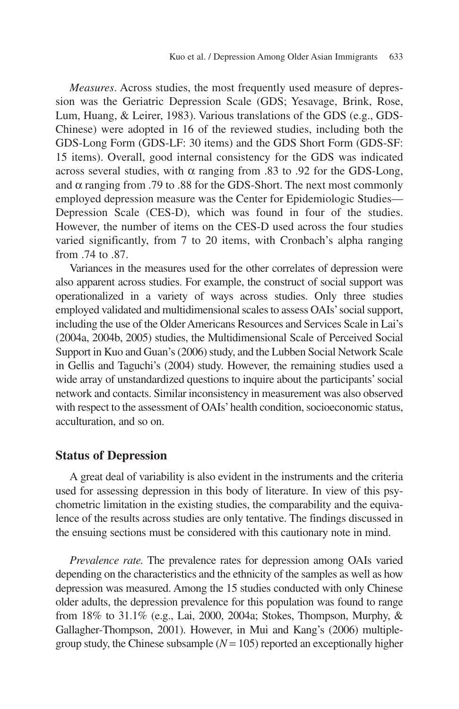*Measures*. Across studies, the most frequently used measure of depression was the Geriatric Depression Scale (GDS; Yesavage, Brink, Rose, Lum, Huang, & Leirer, 1983). Various translations of the GDS (e.g., GDS-Chinese) were adopted in 16 of the reviewed studies, including both the GDS-Long Form (GDS-LF: 30 items) and the GDS Short Form (GDS-SF: 15 items). Overall, good internal consistency for the GDS was indicated across several studies, with  $\alpha$  ranging from .83 to .92 for the GDS-Long, and  $\alpha$  ranging from .79 to .88 for the GDS-Short. The next most commonly employed depression measure was the Center for Epidemiologic Studies— Depression Scale (CES-D), which was found in four of the studies. However, the number of items on the CES-D used across the four studies varied significantly, from 7 to 20 items, with Cronbach's alpha ranging from .74 to .87.

Variances in the measures used for the other correlates of depression were also apparent across studies. For example, the construct of social support was operationalized in a variety of ways across studies. Only three studies employed validated and multidimensional scales to assess OAIs'social support, including the use of the Older Americans Resources and Services Scale in Lai's (2004a, 2004b, 2005) studies, the Multidimensional Scale of Perceived Social Support in Kuo and Guan's (2006) study, and the Lubben Social Network Scale in Gellis and Taguchi's (2004) study. However, the remaining studies used a wide array of unstandardized questions to inquire about the participants' social network and contacts. Similar inconsistency in measurement was also observed with respect to the assessment of OAIs' health condition, socioeconomic status, acculturation, and so on.

#### **Status of Depression**

A great deal of variability is also evident in the instruments and the criteria used for assessing depression in this body of literature. In view of this psychometric limitation in the existing studies, the comparability and the equivalence of the results across studies are only tentative. The findings discussed in the ensuing sections must be considered with this cautionary note in mind.

*Prevalence rate.* The prevalence rates for depression among OAIs varied depending on the characteristics and the ethnicity of the samples as well as how depression was measured. Among the 15 studies conducted with only Chinese older adults, the depression prevalence for this population was found to range from 18% to 31.1% (e.g., Lai, 2000, 2004a; Stokes, Thompson, Murphy, & Gallagher-Thompson, 2001). However, in Mui and Kang's (2006) multiplegroup study, the Chinese subsample  $(N = 105)$  reported an exceptionally higher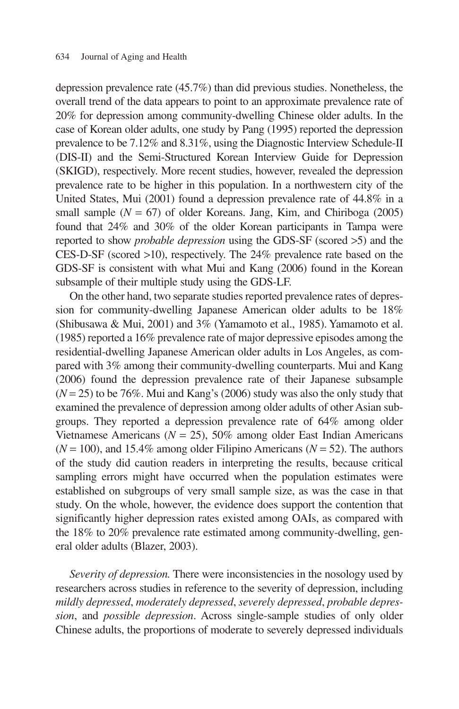depression prevalence rate (45.7%) than did previous studies. Nonetheless, the overall trend of the data appears to point to an approximate prevalence rate of 20% for depression among community-dwelling Chinese older adults. In the case of Korean older adults, one study by Pang (1995) reported the depression prevalence to be 7.12% and 8.31%, using the Diagnostic Interview Schedule-II (DIS-II) and the Semi-Structured Korean Interview Guide for Depression (SKIGD), respectively. More recent studies, however, revealed the depression prevalence rate to be higher in this population. In a northwestern city of the United States, Mui (2001) found a depression prevalence rate of 44.8% in a small sample  $(N = 67)$  of older Koreans. Jang, Kim, and Chiriboga (2005) found that 24% and 30% of the older Korean participants in Tampa were reported to show *probable depression* using the GDS-SF (scored >5) and the CES-D-SF (scored >10), respectively. The 24% prevalence rate based on the GDS-SF is consistent with what Mui and Kang (2006) found in the Korean subsample of their multiple study using the GDS-LF.

On the other hand, two separate studies reported prevalence rates of depression for community-dwelling Japanese American older adults to be 18% (Shibusawa & Mui, 2001) and 3% (Yamamoto et al., 1985). Yamamoto et al. (1985) reported a 16% prevalence rate of major depressive episodes among the residential-dwelling Japanese American older adults in Los Angeles, as compared with 3% among their community-dwelling counterparts. Mui and Kang (2006) found the depression prevalence rate of their Japanese subsample  $(N = 25)$  to be 76%. Mui and Kang's (2006) study was also the only study that examined the prevalence of depression among older adults of other Asian subgroups. They reported a depression prevalence rate of 64% among older Vietnamese Americans ( $N = 25$ ), 50% among older East Indian Americans  $(N = 100)$ , and 15.4% among older Filipino Americans  $(N = 52)$ . The authors of the study did caution readers in interpreting the results, because critical sampling errors might have occurred when the population estimates were established on subgroups of very small sample size, as was the case in that study. On the whole, however, the evidence does support the contention that significantly higher depression rates existed among OAIs, as compared with the 18% to 20% prevalence rate estimated among community-dwelling, general older adults (Blazer, 2003).

*Severity of depression.* There were inconsistencies in the nosology used by researchers across studies in reference to the severity of depression, including *mildly depressed*, *moderately depressed*, *severely depressed*, *probable depression*, and *possible depression*. Across single-sample studies of only older Chinese adults, the proportions of moderate to severely depressed individuals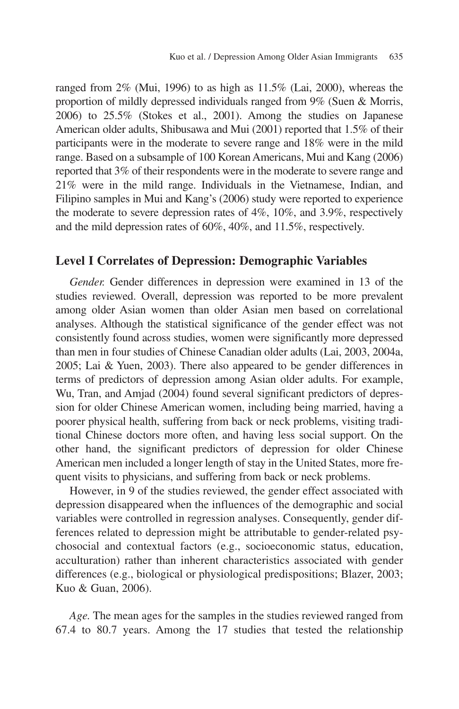ranged from 2% (Mui, 1996) to as high as 11.5% (Lai, 2000), whereas the proportion of mildly depressed individuals ranged from 9% (Suen & Morris, 2006) to 25.5% (Stokes et al., 2001). Among the studies on Japanese American older adults, Shibusawa and Mui (2001) reported that 1.5% of their participants were in the moderate to severe range and 18% were in the mild range. Based on a subsample of 100 Korean Americans, Mui and Kang (2006) reported that 3% of their respondents were in the moderate to severe range and 21% were in the mild range. Individuals in the Vietnamese, Indian, and Filipino samples in Mui and Kang's (2006) study were reported to experience the moderate to severe depression rates of 4%, 10%, and 3.9%, respectively and the mild depression rates of 60%, 40%, and 11.5%, respectively.

#### **Level I Correlates of Depression: Demographic Variables**

*Gender.* Gender differences in depression were examined in 13 of the studies reviewed. Overall, depression was reported to be more prevalent among older Asian women than older Asian men based on correlational analyses. Although the statistical significance of the gender effect was not consistently found across studies, women were significantly more depressed than men in four studies of Chinese Canadian older adults (Lai, 2003, 2004a, 2005; Lai & Yuen, 2003). There also appeared to be gender differences in terms of predictors of depression among Asian older adults. For example, Wu, Tran, and Amjad (2004) found several significant predictors of depression for older Chinese American women, including being married, having a poorer physical health, suffering from back or neck problems, visiting traditional Chinese doctors more often, and having less social support. On the other hand, the significant predictors of depression for older Chinese American men included a longer length of stay in the United States, more frequent visits to physicians, and suffering from back or neck problems.

However, in 9 of the studies reviewed, the gender effect associated with depression disappeared when the influences of the demographic and social variables were controlled in regression analyses. Consequently, gender differences related to depression might be attributable to gender-related psychosocial and contextual factors (e.g., socioeconomic status, education, acculturation) rather than inherent characteristics associated with gender differences (e.g., biological or physiological predispositions; Blazer, 2003; Kuo & Guan, 2006).

*Age.* The mean ages for the samples in the studies reviewed ranged from 67.4 to 80.7 years. Among the 17 studies that tested the relationship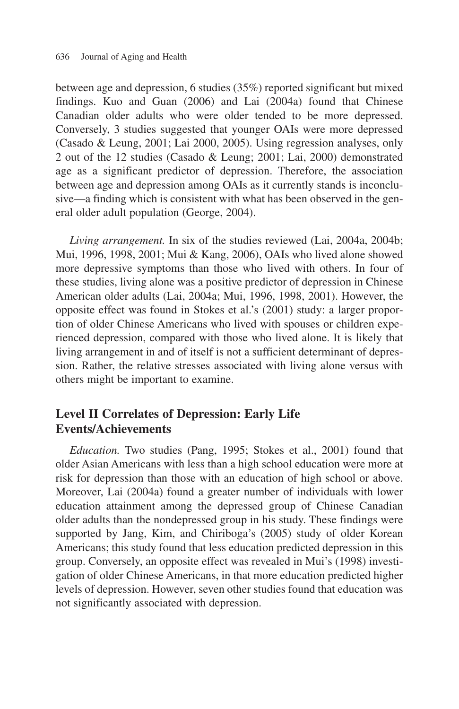between age and depression, 6 studies (35%) reported significant but mixed findings. Kuo and Guan (2006) and Lai (2004a) found that Chinese Canadian older adults who were older tended to be more depressed. Conversely, 3 studies suggested that younger OAIs were more depressed (Casado & Leung, 2001; Lai 2000, 2005). Using regression analyses, only 2 out of the 12 studies (Casado & Leung; 2001; Lai, 2000) demonstrated age as a significant predictor of depression. Therefore, the association between age and depression among OAIs as it currently stands is inconclusive—a finding which is consistent with what has been observed in the general older adult population (George, 2004).

*Living arrangement.* In six of the studies reviewed (Lai, 2004a, 2004b; Mui, 1996, 1998, 2001; Mui & Kang, 2006), OAIs who lived alone showed more depressive symptoms than those who lived with others. In four of these studies, living alone was a positive predictor of depression in Chinese American older adults (Lai, 2004a; Mui, 1996, 1998, 2001). However, the opposite effect was found in Stokes et al.'s (2001) study: a larger proportion of older Chinese Americans who lived with spouses or children experienced depression, compared with those who lived alone. It is likely that living arrangement in and of itself is not a sufficient determinant of depression. Rather, the relative stresses associated with living alone versus with others might be important to examine.

## **Level II Correlates of Depression: Early Life Events/Achievements**

*Education.* Two studies (Pang, 1995; Stokes et al., 2001) found that older Asian Americans with less than a high school education were more at risk for depression than those with an education of high school or above. Moreover, Lai (2004a) found a greater number of individuals with lower education attainment among the depressed group of Chinese Canadian older adults than the nondepressed group in his study. These findings were supported by Jang, Kim, and Chiriboga's (2005) study of older Korean Americans; this study found that less education predicted depression in this group. Conversely, an opposite effect was revealed in Mui's (1998) investigation of older Chinese Americans, in that more education predicted higher levels of depression. However, seven other studies found that education was not significantly associated with depression.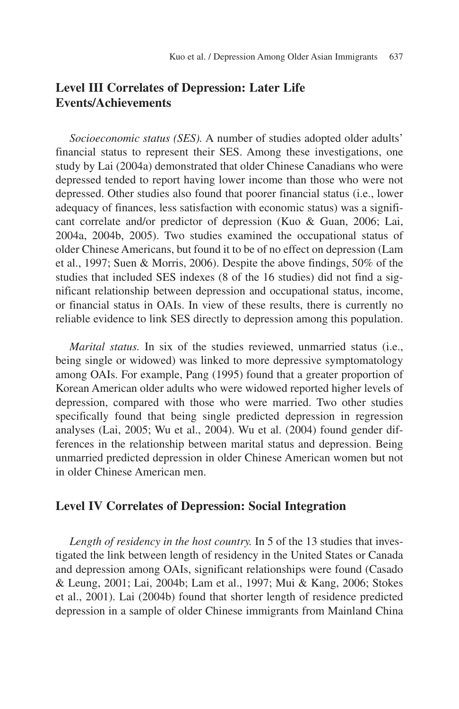## **Level III Correlates of Depression: Later Life Events/Achievements**

*Socioeconomic status (SES).* A number of studies adopted older adults' financial status to represent their SES. Among these investigations, one study by Lai (2004a) demonstrated that older Chinese Canadians who were depressed tended to report having lower income than those who were not depressed. Other studies also found that poorer financial status (i.e., lower adequacy of finances, less satisfaction with economic status) was a significant correlate and/or predictor of depression (Kuo & Guan, 2006; Lai, 2004a, 2004b, 2005). Two studies examined the occupational status of older Chinese Americans, but found it to be of no effect on depression (Lam et al., 1997; Suen & Morris, 2006). Despite the above findings, 50% of the studies that included SES indexes (8 of the 16 studies) did not find a significant relationship between depression and occupational status, income, or financial status in OAIs. In view of these results, there is currently no reliable evidence to link SES directly to depression among this population.

*Marital status.* In six of the studies reviewed, unmarried status (*i.e.*, being single or widowed) was linked to more depressive symptomatology among OAIs. For example, Pang (1995) found that a greater proportion of Korean American older adults who were widowed reported higher levels of depression, compared with those who were married. Two other studies specifically found that being single predicted depression in regression analyses (Lai, 2005; Wu et al., 2004). Wu et al. (2004) found gender differences in the relationship between marital status and depression. Being unmarried predicted depression in older Chinese American women but not in older Chinese American men.

#### **Level IV Correlates of Depression: Social Integration**

*Length of residency in the host country.* In 5 of the 13 studies that investigated the link between length of residency in the United States or Canada and depression among OAIs, significant relationships were found (Casado & Leung, 2001; Lai, 2004b; Lam et al., 1997; Mui & Kang, 2006; Stokes et al., 2001). Lai (2004b) found that shorter length of residence predicted depression in a sample of older Chinese immigrants from Mainland China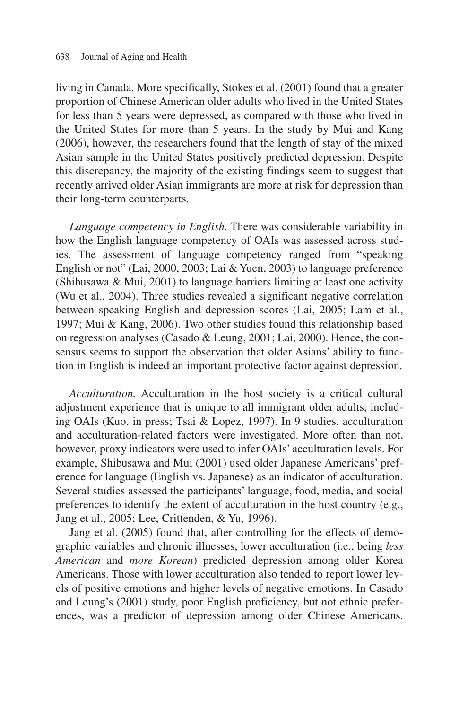living in Canada. More specifically, Stokes et al. (2001) found that a greater proportion of Chinese American older adults who lived in the United States for less than 5 years were depressed, as compared with those who lived in the United States for more than 5 years. In the study by Mui and Kang (2006), however, the researchers found that the length of stay of the mixed Asian sample in the United States positively predicted depression. Despite this discrepancy, the majority of the existing findings seem to suggest that recently arrived older Asian immigrants are more at risk for depression than their long-term counterparts.

*Language competency in English.* There was considerable variability in how the English language competency of OAIs was assessed across studies. The assessment of language competency ranged from "speaking English or not" (Lai, 2000, 2003; Lai & Yuen, 2003) to language preference (Shibusawa & Mui, 2001) to language barriers limiting at least one activity (Wu et al., 2004). Three studies revealed a significant negative correlation between speaking English and depression scores (Lai, 2005; Lam et al., 1997; Mui & Kang, 2006). Two other studies found this relationship based on regression analyses (Casado & Leung, 2001; Lai, 2000). Hence, the consensus seems to support the observation that older Asians' ability to function in English is indeed an important protective factor against depression.

*Acculturation.* Acculturation in the host society is a critical cultural adjustment experience that is unique to all immigrant older adults, including OAIs (Kuo, in press; Tsai & Lopez, 1997). In 9 studies, acculturation and acculturation-related factors were investigated. More often than not, however, proxy indicators were used to infer OAIs' acculturation levels. For example, Shibusawa and Mui (2001) used older Japanese Americans' preference for language (English vs. Japanese) as an indicator of acculturation. Several studies assessed the participants' language, food, media, and social preferences to identify the extent of acculturation in the host country (e.g., Jang et al., 2005; Lee, Crittenden, & Yu, 1996).

Jang et al. (2005) found that, after controlling for the effects of demographic variables and chronic illnesses, lower acculturation (i.e., being *less American* and *more Korean*) predicted depression among older Korea Americans. Those with lower acculturation also tended to report lower levels of positive emotions and higher levels of negative emotions. In Casado and Leung's (2001) study, poor English proficiency, but not ethnic preferences, was a predictor of depression among older Chinese Americans.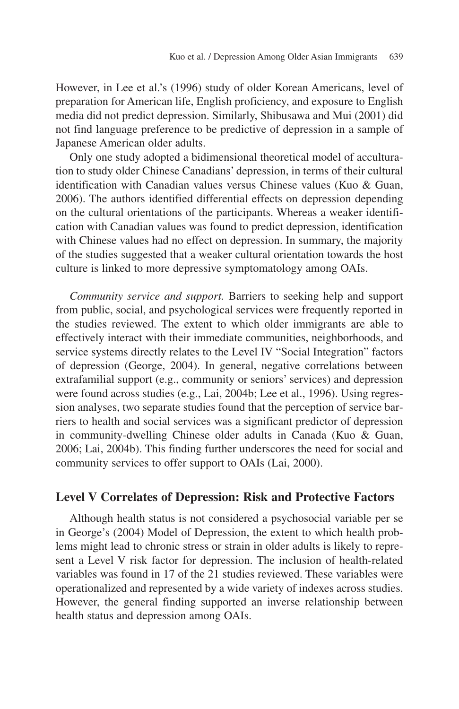However, in Lee et al.'s (1996) study of older Korean Americans, level of preparation for American life, English proficiency, and exposure to English media did not predict depression. Similarly, Shibusawa and Mui (2001) did not find language preference to be predictive of depression in a sample of Japanese American older adults.

Only one study adopted a bidimensional theoretical model of acculturation to study older Chinese Canadians' depression, in terms of their cultural identification with Canadian values versus Chinese values (Kuo & Guan, 2006). The authors identified differential effects on depression depending on the cultural orientations of the participants. Whereas a weaker identification with Canadian values was found to predict depression, identification with Chinese values had no effect on depression. In summary, the majority of the studies suggested that a weaker cultural orientation towards the host culture is linked to more depressive symptomatology among OAIs.

*Community service and support.* Barriers to seeking help and support from public, social, and psychological services were frequently reported in the studies reviewed. The extent to which older immigrants are able to effectively interact with their immediate communities, neighborhoods, and service systems directly relates to the Level IV "Social Integration" factors of depression (George, 2004). In general, negative correlations between extrafamilial support (e.g., community or seniors' services) and depression were found across studies (e.g., Lai, 2004b; Lee et al., 1996). Using regression analyses, two separate studies found that the perception of service barriers to health and social services was a significant predictor of depression in community-dwelling Chinese older adults in Canada (Kuo & Guan, 2006; Lai, 2004b). This finding further underscores the need for social and community services to offer support to OAIs (Lai, 2000).

#### **Level V Correlates of Depression: Risk and Protective Factors**

Although health status is not considered a psychosocial variable per se in George's (2004) Model of Depression, the extent to which health problems might lead to chronic stress or strain in older adults is likely to represent a Level V risk factor for depression. The inclusion of health-related variables was found in 17 of the 21 studies reviewed. These variables were operationalized and represented by a wide variety of indexes across studies. However, the general finding supported an inverse relationship between health status and depression among OAIs.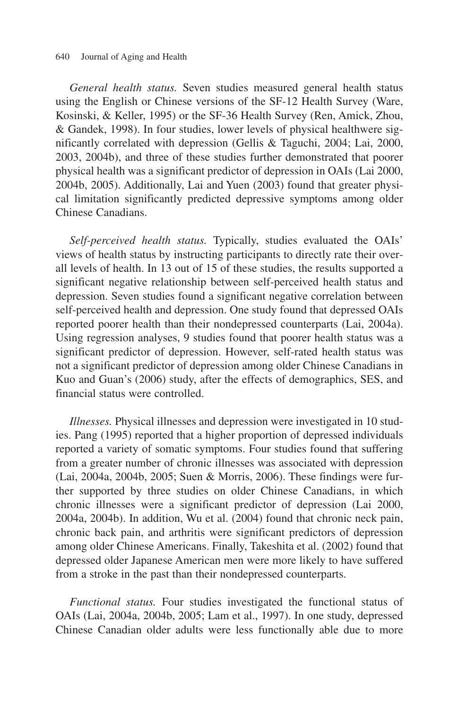*General health status.* Seven studies measured general health status using the English or Chinese versions of the SF-12 Health Survey (Ware, Kosinski, & Keller, 1995) or the SF-36 Health Survey (Ren, Amick, Zhou, & Gandek, 1998). In four studies, lower levels of physical healthwere significantly correlated with depression (Gellis & Taguchi, 2004; Lai, 2000, 2003, 2004b), and three of these studies further demonstrated that poorer physical health was a significant predictor of depression in OAIs (Lai 2000, 2004b, 2005). Additionally, Lai and Yuen (2003) found that greater physical limitation significantly predicted depressive symptoms among older Chinese Canadians.

*Self-perceived health status.* Typically, studies evaluated the OAIs' views of health status by instructing participants to directly rate their overall levels of health. In 13 out of 15 of these studies, the results supported a significant negative relationship between self-perceived health status and depression. Seven studies found a significant negative correlation between self-perceived health and depression. One study found that depressed OAIs reported poorer health than their nondepressed counterparts (Lai, 2004a). Using regression analyses, 9 studies found that poorer health status was a significant predictor of depression. However, self-rated health status was not a significant predictor of depression among older Chinese Canadians in Kuo and Guan's (2006) study, after the effects of demographics, SES, and financial status were controlled.

*Illnesses.* Physical illnesses and depression were investigated in 10 studies. Pang (1995) reported that a higher proportion of depressed individuals reported a variety of somatic symptoms. Four studies found that suffering from a greater number of chronic illnesses was associated with depression (Lai, 2004a, 2004b, 2005; Suen & Morris, 2006). These findings were further supported by three studies on older Chinese Canadians, in which chronic illnesses were a significant predictor of depression (Lai 2000, 2004a, 2004b). In addition, Wu et al. (2004) found that chronic neck pain, chronic back pain, and arthritis were significant predictors of depression among older Chinese Americans. Finally, Takeshita et al. (2002) found that depressed older Japanese American men were more likely to have suffered from a stroke in the past than their nondepressed counterparts.

*Functional status.* Four studies investigated the functional status of OAIs (Lai, 2004a, 2004b, 2005; Lam et al., 1997). In one study, depressed Chinese Canadian older adults were less functionally able due to more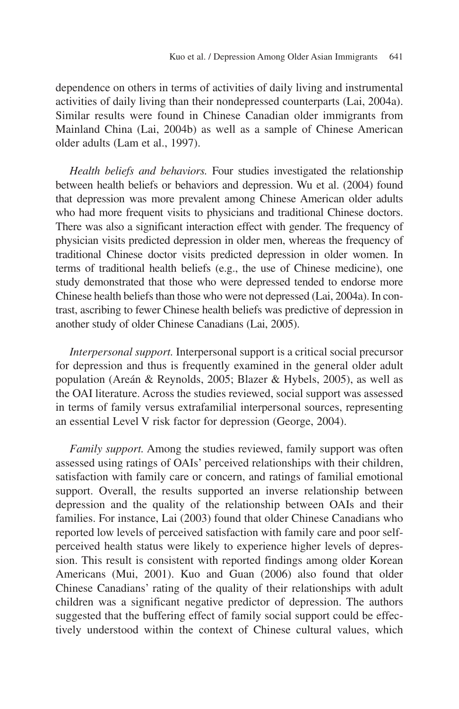dependence on others in terms of activities of daily living and instrumental activities of daily living than their nondepressed counterparts (Lai, 2004a). Similar results were found in Chinese Canadian older immigrants from Mainland China (Lai, 2004b) as well as a sample of Chinese American older adults (Lam et al., 1997).

*Health beliefs and behaviors.* Four studies investigated the relationship between health beliefs or behaviors and depression. Wu et al. (2004) found that depression was more prevalent among Chinese American older adults who had more frequent visits to physicians and traditional Chinese doctors. There was also a significant interaction effect with gender. The frequency of physician visits predicted depression in older men, whereas the frequency of traditional Chinese doctor visits predicted depression in older women. In terms of traditional health beliefs (e.g., the use of Chinese medicine), one study demonstrated that those who were depressed tended to endorse more Chinese health beliefs than those who were not depressed (Lai, 2004a). In contrast, ascribing to fewer Chinese health beliefs was predictive of depression in another study of older Chinese Canadians (Lai, 2005).

*Interpersonal support.* Interpersonal support is a critical social precursor for depression and thus is frequently examined in the general older adult population (Areán & Reynolds, 2005; Blazer & Hybels, 2005), as well as the OAI literature. Across the studies reviewed, social support was assessed in terms of family versus extrafamilial interpersonal sources, representing an essential Level V risk factor for depression (George, 2004).

*Family support.* Among the studies reviewed, family support was often assessed using ratings of OAIs' perceived relationships with their children, satisfaction with family care or concern, and ratings of familial emotional support. Overall, the results supported an inverse relationship between depression and the quality of the relationship between OAIs and their families. For instance, Lai (2003) found that older Chinese Canadians who reported low levels of perceived satisfaction with family care and poor selfperceived health status were likely to experience higher levels of depression. This result is consistent with reported findings among older Korean Americans (Mui, 2001). Kuo and Guan (2006) also found that older Chinese Canadians' rating of the quality of their relationships with adult children was a significant negative predictor of depression. The authors suggested that the buffering effect of family social support could be effectively understood within the context of Chinese cultural values, which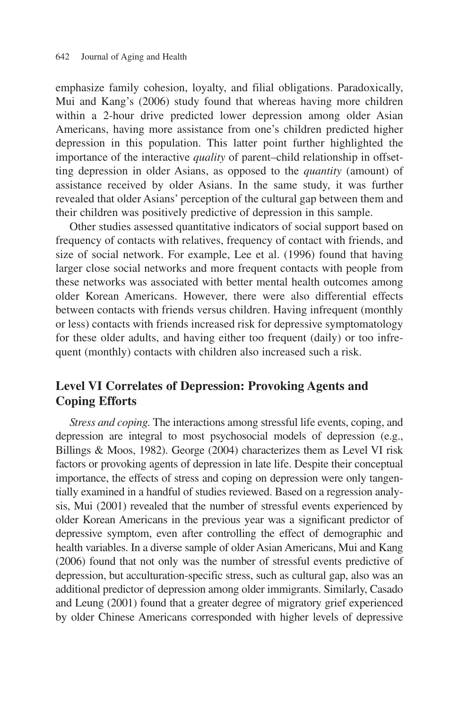emphasize family cohesion, loyalty, and filial obligations. Paradoxically, Mui and Kang's (2006) study found that whereas having more children within a 2-hour drive predicted lower depression among older Asian Americans, having more assistance from one's children predicted higher depression in this population. This latter point further highlighted the importance of the interactive *quality* of parent–child relationship in offsetting depression in older Asians, as opposed to the *quantity* (amount) of assistance received by older Asians. In the same study, it was further revealed that older Asians' perception of the cultural gap between them and their children was positively predictive of depression in this sample.

Other studies assessed quantitative indicators of social support based on frequency of contacts with relatives, frequency of contact with friends, and size of social network. For example, Lee et al. (1996) found that having larger close social networks and more frequent contacts with people from these networks was associated with better mental health outcomes among older Korean Americans. However, there were also differential effects between contacts with friends versus children. Having infrequent (monthly or less) contacts with friends increased risk for depressive symptomatology for these older adults, and having either too frequent (daily) or too infrequent (monthly) contacts with children also increased such a risk.

## **Level VI Correlates of Depression: Provoking Agents and Coping Efforts**

*Stress and coping.* The interactions among stressful life events, coping, and depression are integral to most psychosocial models of depression (e.g., Billings & Moos, 1982). George (2004) characterizes them as Level VI risk factors or provoking agents of depression in late life. Despite their conceptual importance, the effects of stress and coping on depression were only tangentially examined in a handful of studies reviewed. Based on a regression analysis, Mui (2001) revealed that the number of stressful events experienced by older Korean Americans in the previous year was a significant predictor of depressive symptom, even after controlling the effect of demographic and health variables. In a diverse sample of older Asian Americans, Mui and Kang (2006) found that not only was the number of stressful events predictive of depression, but acculturation-specific stress, such as cultural gap, also was an additional predictor of depression among older immigrants. Similarly, Casado and Leung (2001) found that a greater degree of migratory grief experienced by older Chinese Americans corresponded with higher levels of depressive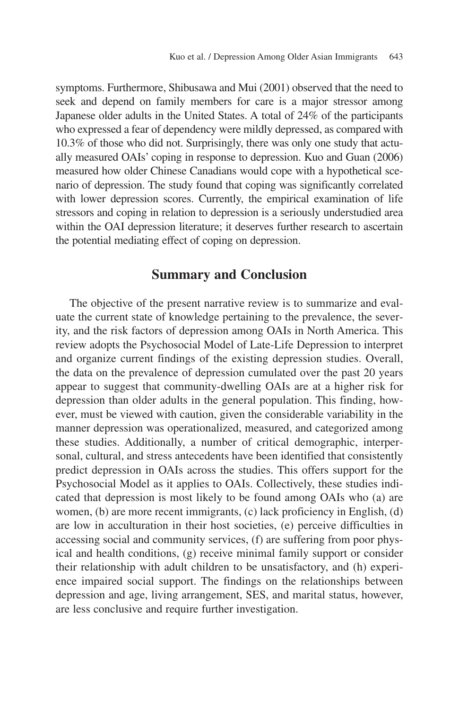symptoms. Furthermore, Shibusawa and Mui (2001) observed that the need to seek and depend on family members for care is a major stressor among Japanese older adults in the United States. A total of 24% of the participants who expressed a fear of dependency were mildly depressed, as compared with 10.3% of those who did not. Surprisingly, there was only one study that actually measured OAIs' coping in response to depression. Kuo and Guan (2006) measured how older Chinese Canadians would cope with a hypothetical scenario of depression. The study found that coping was significantly correlated with lower depression scores. Currently, the empirical examination of life stressors and coping in relation to depression is a seriously understudied area within the OAI depression literature; it deserves further research to ascertain the potential mediating effect of coping on depression.

## **Summary and Conclusion**

The objective of the present narrative review is to summarize and evaluate the current state of knowledge pertaining to the prevalence, the severity, and the risk factors of depression among OAIs in North America. This review adopts the Psychosocial Model of Late-Life Depression to interpret and organize current findings of the existing depression studies. Overall, the data on the prevalence of depression cumulated over the past 20 years appear to suggest that community-dwelling OAIs are at a higher risk for depression than older adults in the general population. This finding, however, must be viewed with caution, given the considerable variability in the manner depression was operationalized, measured, and categorized among these studies. Additionally, a number of critical demographic, interpersonal, cultural, and stress antecedents have been identified that consistently predict depression in OAIs across the studies. This offers support for the Psychosocial Model as it applies to OAIs. Collectively, these studies indicated that depression is most likely to be found among OAIs who (a) are women, (b) are more recent immigrants, (c) lack proficiency in English, (d) are low in acculturation in their host societies, (e) perceive difficulties in accessing social and community services, (f) are suffering from poor physical and health conditions, (g) receive minimal family support or consider their relationship with adult children to be unsatisfactory, and (h) experience impaired social support. The findings on the relationships between depression and age, living arrangement, SES, and marital status, however, are less conclusive and require further investigation.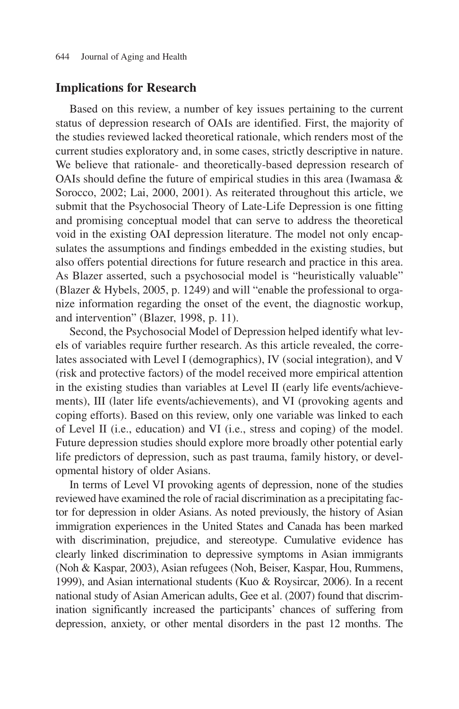#### **Implications for Research**

Based on this review, a number of key issues pertaining to the current status of depression research of OAIs are identified. First, the majority of the studies reviewed lacked theoretical rationale, which renders most of the current studies exploratory and, in some cases, strictly descriptive in nature. We believe that rationale- and theoretically-based depression research of OAIs should define the future of empirical studies in this area (Iwamasa & Sorocco, 2002; Lai, 2000, 2001). As reiterated throughout this article, we submit that the Psychosocial Theory of Late-Life Depression is one fitting and promising conceptual model that can serve to address the theoretical void in the existing OAI depression literature. The model not only encapsulates the assumptions and findings embedded in the existing studies, but also offers potential directions for future research and practice in this area. As Blazer asserted, such a psychosocial model is "heuristically valuable" (Blazer & Hybels, 2005, p. 1249) and will "enable the professional to organize information regarding the onset of the event, the diagnostic workup, and intervention" (Blazer, 1998, p. 11).

Second, the Psychosocial Model of Depression helped identify what levels of variables require further research. As this article revealed, the correlates associated with Level I (demographics), IV (social integration), and V (risk and protective factors) of the model received more empirical attention in the existing studies than variables at Level II (early life events/achievements), III (later life events/achievements), and VI (provoking agents and coping efforts). Based on this review, only one variable was linked to each of Level II (i.e., education) and VI (i.e., stress and coping) of the model. Future depression studies should explore more broadly other potential early life predictors of depression, such as past trauma, family history, or developmental history of older Asians.

In terms of Level VI provoking agents of depression, none of the studies reviewed have examined the role of racial discrimination as a precipitating factor for depression in older Asians. As noted previously, the history of Asian immigration experiences in the United States and Canada has been marked with discrimination, prejudice, and stereotype. Cumulative evidence has clearly linked discrimination to depressive symptoms in Asian immigrants (Noh & Kaspar, 2003), Asian refugees (Noh, Beiser, Kaspar, Hou, Rummens, 1999), and Asian international students (Kuo & Roysircar, 2006). In a recent national study of Asian American adults, Gee et al. (2007) found that discrimination significantly increased the participants' chances of suffering from depression, anxiety, or other mental disorders in the past 12 months. The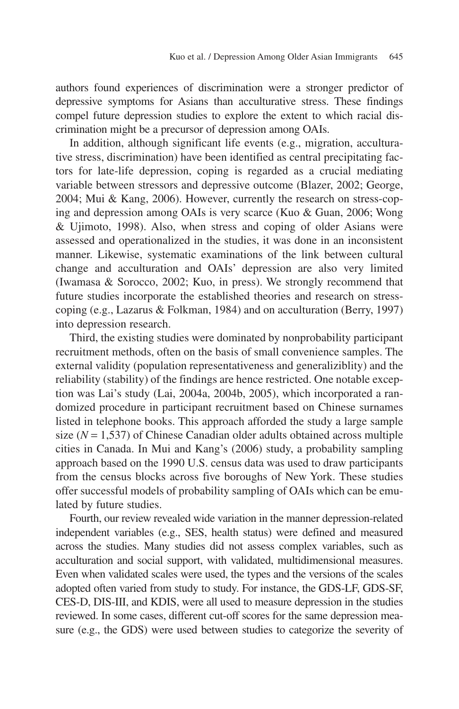authors found experiences of discrimination were a stronger predictor of depressive symptoms for Asians than acculturative stress. These findings compel future depression studies to explore the extent to which racial discrimination might be a precursor of depression among OAIs.

In addition, although significant life events (e.g., migration, acculturative stress, discrimination) have been identified as central precipitating factors for late-life depression, coping is regarded as a crucial mediating variable between stressors and depressive outcome (Blazer, 2002; George, 2004; Mui & Kang, 2006). However, currently the research on stress-coping and depression among OAIs is very scarce (Kuo & Guan, 2006; Wong & Ujimoto, 1998). Also, when stress and coping of older Asians were assessed and operationalized in the studies, it was done in an inconsistent manner. Likewise, systematic examinations of the link between cultural change and acculturation and OAIs' depression are also very limited (Iwamasa & Sorocco, 2002; Kuo, in press). We strongly recommend that future studies incorporate the established theories and research on stresscoping (e.g., Lazarus & Folkman, 1984) and on acculturation (Berry, 1997) into depression research.

Third, the existing studies were dominated by nonprobability participant recruitment methods, often on the basis of small convenience samples. The external validity (population representativeness and generaliziblity) and the reliability (stability) of the findings are hence restricted. One notable exception was Lai's study (Lai, 2004a, 2004b, 2005), which incorporated a randomized procedure in participant recruitment based on Chinese surnames listed in telephone books. This approach afforded the study a large sample size  $(N = 1,537)$  of Chinese Canadian older adults obtained across multiple cities in Canada. In Mui and Kang's (2006) study, a probability sampling approach based on the 1990 U.S. census data was used to draw participants from the census blocks across five boroughs of New York. These studies offer successful models of probability sampling of OAIs which can be emulated by future studies.

Fourth, our review revealed wide variation in the manner depression-related independent variables (e.g., SES, health status) were defined and measured across the studies. Many studies did not assess complex variables, such as acculturation and social support, with validated, multidimensional measures. Even when validated scales were used, the types and the versions of the scales adopted often varied from study to study. For instance, the GDS-LF, GDS-SF, CES-D, DIS-III, and KDIS, were all used to measure depression in the studies reviewed. In some cases, different cut-off scores for the same depression measure (e.g., the GDS) were used between studies to categorize the severity of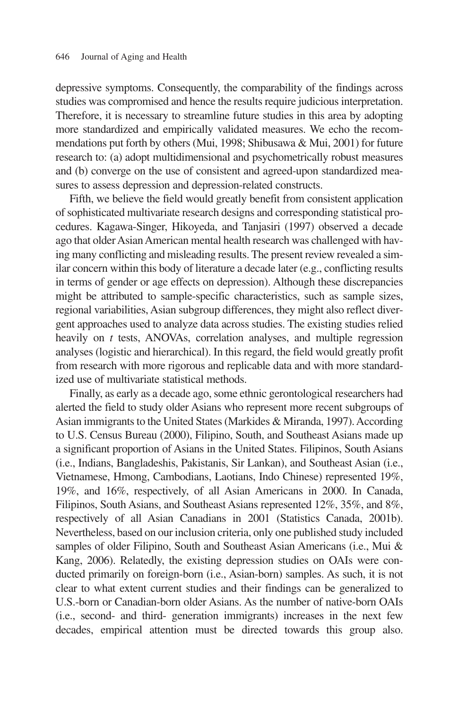depressive symptoms. Consequently, the comparability of the findings across studies was compromised and hence the results require judicious interpretation. Therefore, it is necessary to streamline future studies in this area by adopting more standardized and empirically validated measures. We echo the recommendations put forth by others (Mui, 1998; Shibusawa & Mui, 2001) for future research to: (a) adopt multidimensional and psychometrically robust measures and (b) converge on the use of consistent and agreed-upon standardized measures to assess depression and depression-related constructs.

Fifth, we believe the field would greatly benefit from consistent application of sophisticated multivariate research designs and corresponding statistical procedures. Kagawa-Singer, Hikoyeda, and Tanjasiri (1997) observed a decade ago that older Asian American mental health research was challenged with having many conflicting and misleading results. The present review revealed a similar concern within this body of literature a decade later (e.g., conflicting results in terms of gender or age effects on depression). Although these discrepancies might be attributed to sample-specific characteristics, such as sample sizes, regional variabilities, Asian subgroup differences, they might also reflect divergent approaches used to analyze data across studies. The existing studies relied heavily on *t* tests, ANOVAs, correlation analyses, and multiple regression analyses (logistic and hierarchical). In this regard, the field would greatly profit from research with more rigorous and replicable data and with more standardized use of multivariate statistical methods.

Finally, as early as a decade ago, some ethnic gerontological researchers had alerted the field to study older Asians who represent more recent subgroups of Asian immigrants to the United States (Markides & Miranda, 1997). According to U.S. Census Bureau (2000), Filipino, South, and Southeast Asians made up a significant proportion of Asians in the United States. Filipinos, South Asians (i.e., Indians, Bangladeshis, Pakistanis, Sir Lankan), and Southeast Asian (i.e., Vietnamese, Hmong, Cambodians, Laotians, Indo Chinese) represented 19%, 19%, and 16%, respectively, of all Asian Americans in 2000. In Canada, Filipinos, South Asians, and Southeast Asians represented 12%, 35%, and 8%, respectively of all Asian Canadians in 2001 (Statistics Canada, 2001b). Nevertheless, based on our inclusion criteria, only one published study included samples of older Filipino, South and Southeast Asian Americans (i.e., Mui & Kang, 2006). Relatedly, the existing depression studies on OAIs were conducted primarily on foreign-born (i.e., Asian-born) samples. As such, it is not clear to what extent current studies and their findings can be generalized to U.S.-born or Canadian-born older Asians. As the number of native-born OAIs (i.e., second- and third- generation immigrants) increases in the next few decades, empirical attention must be directed towards this group also.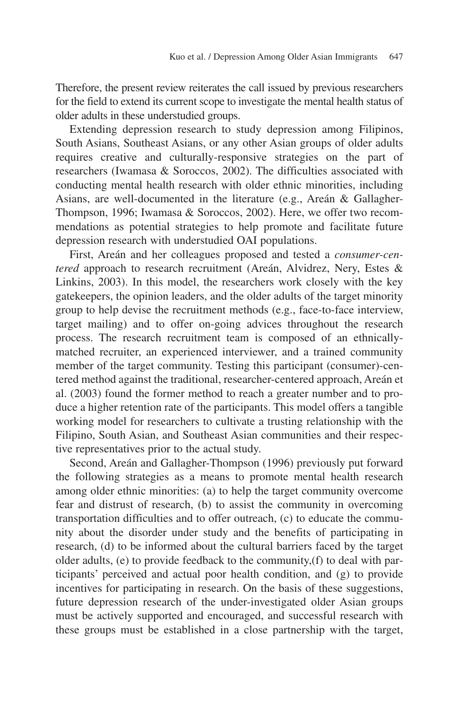Therefore, the present review reiterates the call issued by previous researchers for the field to extend its current scope to investigate the mental health status of older adults in these understudied groups.

Extending depression research to study depression among Filipinos, South Asians, Southeast Asians, or any other Asian groups of older adults requires creative and culturally-responsive strategies on the part of researchers (Iwamasa & Soroccos, 2002). The difficulties associated with conducting mental health research with older ethnic minorities, including Asians, are well-documented in the literature (e.g., Areán & Gallagher-Thompson, 1996; Iwamasa & Soroccos, 2002). Here, we offer two recommendations as potential strategies to help promote and facilitate future depression research with understudied OAI populations.

First, Areán and her colleagues proposed and tested a *consumer-centered* approach to research recruitment (Areán, Alvidrez, Nery, Estes & Linkins, 2003). In this model, the researchers work closely with the key gatekeepers, the opinion leaders, and the older adults of the target minority group to help devise the recruitment methods (e.g., face-to-face interview, target mailing) and to offer on-going advices throughout the research process. The research recruitment team is composed of an ethnicallymatched recruiter, an experienced interviewer, and a trained community member of the target community. Testing this participant (consumer)-centered method against the traditional, researcher-centered approach, Areán et al. (2003) found the former method to reach a greater number and to produce a higher retention rate of the participants. This model offers a tangible working model for researchers to cultivate a trusting relationship with the Filipino, South Asian, and Southeast Asian communities and their respective representatives prior to the actual study.

Second, Areán and Gallagher-Thompson (1996) previously put forward the following strategies as a means to promote mental health research among older ethnic minorities: (a) to help the target community overcome fear and distrust of research, (b) to assist the community in overcoming transportation difficulties and to offer outreach, (c) to educate the community about the disorder under study and the benefits of participating in research, (d) to be informed about the cultural barriers faced by the target older adults, (e) to provide feedback to the community,(f) to deal with participants' perceived and actual poor health condition, and (g) to provide incentives for participating in research. On the basis of these suggestions, future depression research of the under-investigated older Asian groups must be actively supported and encouraged, and successful research with these groups must be established in a close partnership with the target,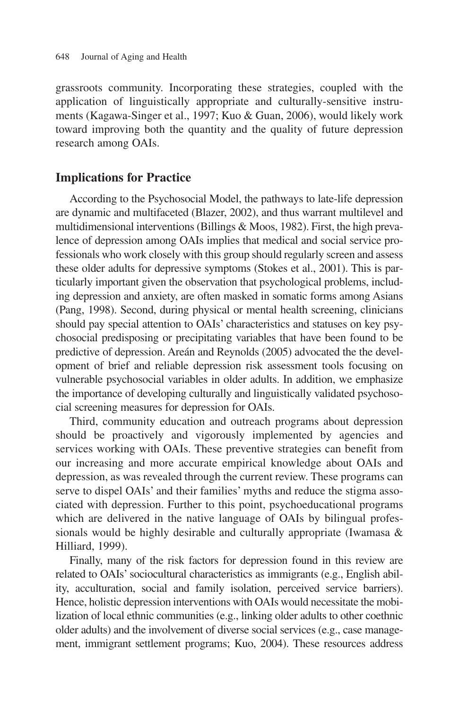grassroots community. Incorporating these strategies, coupled with the application of linguistically appropriate and culturally-sensitive instruments (Kagawa-Singer et al., 1997; Kuo & Guan, 2006), would likely work toward improving both the quantity and the quality of future depression research among OAIs.

#### **Implications for Practice**

According to the Psychosocial Model, the pathways to late-life depression are dynamic and multifaceted (Blazer, 2002), and thus warrant multilevel and multidimensional interventions (Billings & Moos, 1982). First, the high prevalence of depression among OAIs implies that medical and social service professionals who work closely with this group should regularly screen and assess these older adults for depressive symptoms (Stokes et al., 2001). This is particularly important given the observation that psychological problems, including depression and anxiety, are often masked in somatic forms among Asians (Pang, 1998). Second, during physical or mental health screening, clinicians should pay special attention to OAIs' characteristics and statuses on key psychosocial predisposing or precipitating variables that have been found to be predictive of depression. Areán and Reynolds (2005) advocated the the development of brief and reliable depression risk assessment tools focusing on vulnerable psychosocial variables in older adults. In addition, we emphasize the importance of developing culturally and linguistically validated psychosocial screening measures for depression for OAIs.

Third, community education and outreach programs about depression should be proactively and vigorously implemented by agencies and services working with OAIs. These preventive strategies can benefit from our increasing and more accurate empirical knowledge about OAIs and depression, as was revealed through the current review. These programs can serve to dispel OAIs' and their families' myths and reduce the stigma associated with depression. Further to this point, psychoeducational programs which are delivered in the native language of OAIs by bilingual professionals would be highly desirable and culturally appropriate (Iwamasa & Hilliard, 1999).

Finally, many of the risk factors for depression found in this review are related to OAIs' sociocultural characteristics as immigrants (e.g., English ability, acculturation, social and family isolation, perceived service barriers). Hence, holistic depression interventions with OAIs would necessitate the mobilization of local ethnic communities (e.g., linking older adults to other coethnic older adults) and the involvement of diverse social services (e.g., case management, immigrant settlement programs; Kuo, 2004). These resources address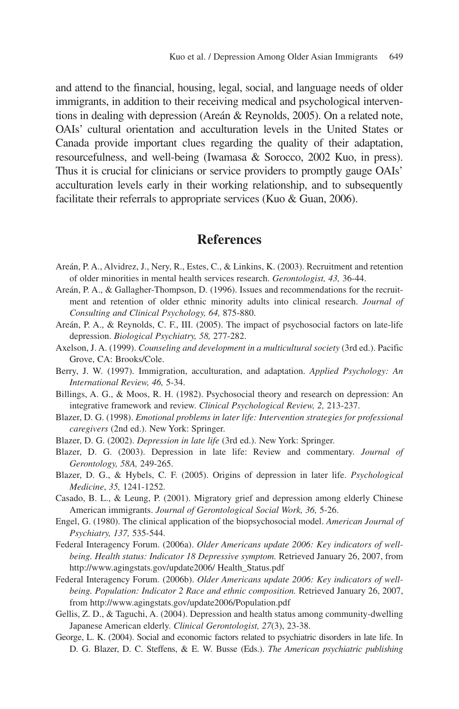and attend to the financial, housing, legal, social, and language needs of older immigrants, in addition to their receiving medical and psychological interventions in dealing with depression (Areán & Reynolds, 2005). On a related note, OAIs' cultural orientation and acculturation levels in the United States or Canada provide important clues regarding the quality of their adaptation, resourcefulness, and well-being (Iwamasa & Sorocco, 2002 Kuo, in press). Thus it is crucial for clinicians or service providers to promptly gauge OAIs' acculturation levels early in their working relationship, and to subsequently facilitate their referrals to appropriate services (Kuo & Guan, 2006).

## **References**

- Areán, P. A., Alvidrez, J., Nery, R., Estes, C., & Linkins, K. (2003). Recruitment and retention of older minorities in mental health services research. *Gerontologist, 43,* 36-44.
- Areán, P. A., & Gallagher-Thompson, D. (1996). Issues and recommendations for the recruitment and retention of older ethnic minority adults into clinical research. *Journal of Consulting and Clinical Psychology, 64,* 875-880.
- Areán, P. A., & Reynolds, C. F., III. (2005). The impact of psychosocial factors on late-life depression. *Biological Psychiatry, 58,* 277-282.
- Axelson, J. A. (1999). *Counseling and development in a multicultural society* (3rd ed.). Pacific Grove, CA: Brooks/Cole.
- Berry, J. W. (1997). Immigration, acculturation, and adaptation. *Applied Psychology: An International Review, 46,* 5-34.
- Billings, A. G., & Moos, R. H. (1982). Psychosocial theory and research on depression: An integrative framework and review. *Clinical Psychological Review, 2,* 213-237.
- Blazer, D. G. (1998). *Emotional problems in later life: Intervention strategies for professional caregivers* (2nd ed.). New York: Springer.
- Blazer, D. G. (2002). *Depression in late life* (3rd ed.). New York: Springer.
- Blazer, D. G. (2003). Depression in late life: Review and commentary. *Journal of Gerontology, 58A,* 249-265.
- Blazer, D. G., & Hybels, C. F. (2005). Origins of depression in later life. *Psychological Medicine*, *35,* 1241-1252.
- Casado, B. L., & Leung, P. (2001). Migratory grief and depression among elderly Chinese American immigrants. *Journal of Gerontological Social Work, 36,* 5-26.
- Engel, G. (1980). The clinical application of the biopsychosocial model. *American Journal of Psychiatry, 137,* 535-544.
- Federal Interagency Forum. (2006a). *Older Americans update 2006: Key indicators of wellbeing. Health status: Indicator 18 Depressive symptom.* Retrieved January 26, 2007, from http://www.agingstats.gov/update2006/ Health\_Status.pdf
- Federal Interagency Forum. (2006b). *Older Americans update 2006: Key indicators of wellbeing. Population: Indicator 2 Race and ethnic composition.* Retrieved January 26, 2007, from http://www.agingstats.gov/update2006/Population.pdf
- Gellis, Z. D., & Taguchi, A. (2004). Depression and health status among community-dwelling Japanese American elderly. *Clinical Gerontologist, 27*(3), 23-38.
- George, L. K. (2004). Social and economic factors related to psychiatric disorders in late life. In D. G. Blazer, D. C. Steffens, & E. W. Busse (Eds.). *The American psychiatric publishing*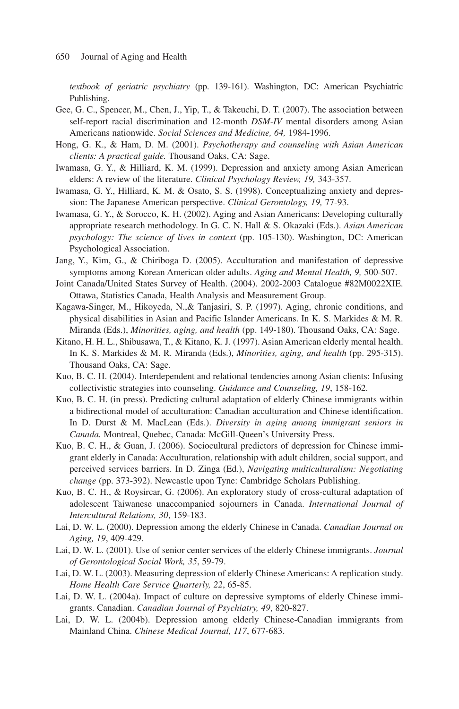*textbook of geriatric psychiatry* (pp. 139-161). Washington, DC: American Psychiatric Publishing.

- Gee, G. C., Spencer, M., Chen, J., Yip, T., & Takeuchi, D. T. (2007). The association between self-report racial discrimination and 12-month *DSM-IV* mental disorders among Asian Americans nationwide. *Social Sciences and Medicine, 64,* 1984-1996.
- Hong, G. K., & Ham, D. M. (2001). *Psychotherapy and counseling with Asian American clients: A practical guide.* Thousand Oaks, CA: Sage.
- Iwamasa, G. Y., & Hilliard, K. M. (1999). Depression and anxiety among Asian American elders: A review of the literature. *Clinical Psychology Review, 19,* 343-357.
- Iwamasa, G. Y., Hilliard, K. M. & Osato, S. S. (1998). Conceptualizing anxiety and depression: The Japanese American perspective. *Clinical Gerontology, 19,* 77-93.
- Iwamasa, G. Y., & Sorocco, K. H. (2002). Aging and Asian Americans: Developing culturally appropriate research methodology. In G. C. N. Hall & S. Okazaki (Eds.). *Asian American psychology: The science of lives in context* (pp. 105-130). Washington, DC: American Psychological Association.
- Jang, Y., Kim, G., & Chiriboga D. (2005). Acculturation and manifestation of depressive symptoms among Korean American older adults. *Aging and Mental Health, 9,* 500-507.
- Joint Canada/United States Survey of Health. (2004). 2002-2003 Catalogue #82M0022XIE. Ottawa, Statistics Canada, Health Analysis and Measurement Group.
- Kagawa-Singer, M., Hikoyeda, N.,& Tanjasiri, S. P. (1997). Aging, chronic conditions, and physical disabilities in Asian and Pacific Islander Americans. In K. S. Markides & M. R. Miranda (Eds.), *Minorities, aging, and health* (pp. 149-180). Thousand Oaks, CA: Sage.
- Kitano, H. H. L., Shibusawa, T., & Kitano, K. J. (1997). Asian American elderly mental health. In K. S. Markides & M. R. Miranda (Eds.), *Minorities, aging, and health* (pp. 295-315). Thousand Oaks, CA: Sage.
- Kuo, B. C. H. (2004). Interdependent and relational tendencies among Asian clients: Infusing collectivistic strategies into counseling. *Guidance and Counseling, 19*, 158-162.
- Kuo, B. C. H. (in press). Predicting cultural adaptation of elderly Chinese immigrants within a bidirectional model of acculturation: Canadian acculturation and Chinese identification. In D. Durst & M. MacLean (Eds.). *Diversity in aging among immigrant seniors in Canada.* Montreal, Quebec, Canada: McGill-Queen's University Press.
- Kuo, B. C. H., & Guan, J. (2006). Sociocultural predictors of depression for Chinese immigrant elderly in Canada: Acculturation, relationship with adult children, social support, and perceived services barriers. In D. Zinga (Ed.), *Navigating multiculturalism: Negotiating change* (pp. 373-392). Newcastle upon Tyne: Cambridge Scholars Publishing.
- Kuo, B. C. H., & Roysircar, G. (2006). An exploratory study of cross-cultural adaptation of adolescent Taiwanese unaccompanied sojourners in Canada. *International Journal of Intercultural Relations, 30*, 159-183.
- Lai, D. W. L. (2000). Depression among the elderly Chinese in Canada. *Canadian Journal on Aging, 19*, 409-429.
- Lai, D. W. L. (2001). Use of senior center services of the elderly Chinese immigrants. *Journal of Gerontological Social Work, 35*, 59-79.
- Lai, D. W. L. (2003). Measuring depression of elderly Chinese Americans: A replication study. *Home Health Care Service Quarterly, 22*, 65-85.
- Lai, D. W. L. (2004a). Impact of culture on depressive symptoms of elderly Chinese immigrants. Canadian. *Canadian Journal of Psychiatry, 49*, 820-827.
- Lai, D. W. L. (2004b). Depression among elderly Chinese-Canadian immigrants from Mainland China. *Chinese Medical Journal, 117*, 677-683.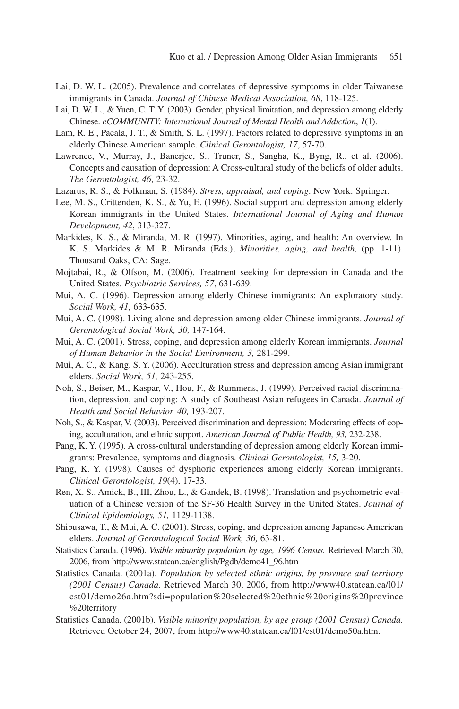- Lai, D. W. L. (2005). Prevalence and correlates of depressive symptoms in older Taiwanese immigrants in Canada. *Journal of Chinese Medical Association, 68*, 118-125.
- Lai, D. W. L., & Yuen, C. T. Y. (2003). Gender, physical limitation, and depression among elderly Chinese. *eCOMMUNITY: International Journal of Mental Health and Addiction*, *1*(1).
- Lam, R. E., Pacala, J. T., & Smith, S. L. (1997). Factors related to depressive symptoms in an elderly Chinese American sample. *Clinical Gerontologist, 17*, 57-70.
- Lawrence, V., Murray, J., Banerjee, S., Truner, S., Sangha, K., Byng, R., et al. (2006). Concepts and causation of depression: A Cross-cultural study of the beliefs of older adults. *The Gerontologist, 46*, 23-32.
- Lazarus, R. S., & Folkman, S. (1984). *Stress, appraisal, and coping*. New York: Springer.
- Lee, M. S., Crittenden, K. S., & Yu, E. (1996). Social support and depression among elderly Korean immigrants in the United States. *International Journal of Aging and Human Development, 42*, 313-327.
- Markides, K. S., & Miranda, M. R. (1997). Minorities, aging, and health: An overview. In K. S. Markides & M. R. Miranda (Eds.), *Minorities, aging, and health,* (pp. 1-11). Thousand Oaks, CA: Sage.
- Mojtabai, R., & Olfson, M. (2006). Treatment seeking for depression in Canada and the United States. *Psychiatric Services, 57*, 631-639.
- Mui, A. C. (1996). Depression among elderly Chinese immigrants: An exploratory study. *Social Work, 41,* 633-635.
- Mui, A. C. (1998). Living alone and depression among older Chinese immigrants. *Journal of Gerontological Social Work, 30,* 147-164.
- Mui, A. C. (2001). Stress, coping, and depression among elderly Korean immigrants. *Journal of Human Behavior in the Social Environment, 3,* 281-299.
- Mui, A. C., & Kang, S. Y. (2006). Acculturation stress and depression among Asian immigrant elders. *Social Work, 51,* 243-255.
- Noh, S., Beiser, M., Kaspar, V., Hou, F., & Rummens, J. (1999). Perceived racial discrimination, depression, and coping: A study of Southeast Asian refugees in Canada. *Journal of Health and Social Behavior, 40,* 193-207.
- Noh, S., & Kaspar, V. (2003). Perceived discrimination and depression: Moderating effects of coping, acculturation, and ethnic support. *American Journal of Public Health, 93,* 232-238.
- Pang, K. Y. (1995). A cross-cultural understanding of depression among elderly Korean immigrants: Prevalence, symptoms and diagnosis. *Clinical Gerontologist, 15,* 3-20.
- Pang, K. Y. (1998). Causes of dysphoric experiences among elderly Korean immigrants. *Clinical Gerontologist, 19*(4), 17-33.
- Ren, X. S., Amick, B., III, Zhou, L., & Gandek, B. (1998). Translation and psychometric evaluation of a Chinese version of the SF-36 Health Survey in the United States. *Journal of Clinical Epidemiology, 51,* 1129-1138.
- Shibusawa, T., & Mui, A. C. (2001). Stress, coping, and depression among Japanese American elders. *Journal of Gerontological Social Work, 36,* 63-81.
- Statistics Canada. (1996). *Visible minority population by age, 1996 Census.* Retrieved March 30, 2006, from http://www.statcan.ca/english/Pgdb/demo41\_96.htm
- Statistics Canada. (2001a). *Population by selected ethnic origins, by province and territory (2001 Census) Canada.* Retrieved March 30, 2006, from http://www40.statcan.ca/l01/ cst01/demo26a.htm?sdi=population%20selected%20ethnic%20origins%20province %20territory
- Statistics Canada. (2001b). *Visible minority population, by age group (2001 Census) Canada.* Retrieved October 24, 2007, from http://www40.statcan.ca/l01/cst01/demo50a.htm.